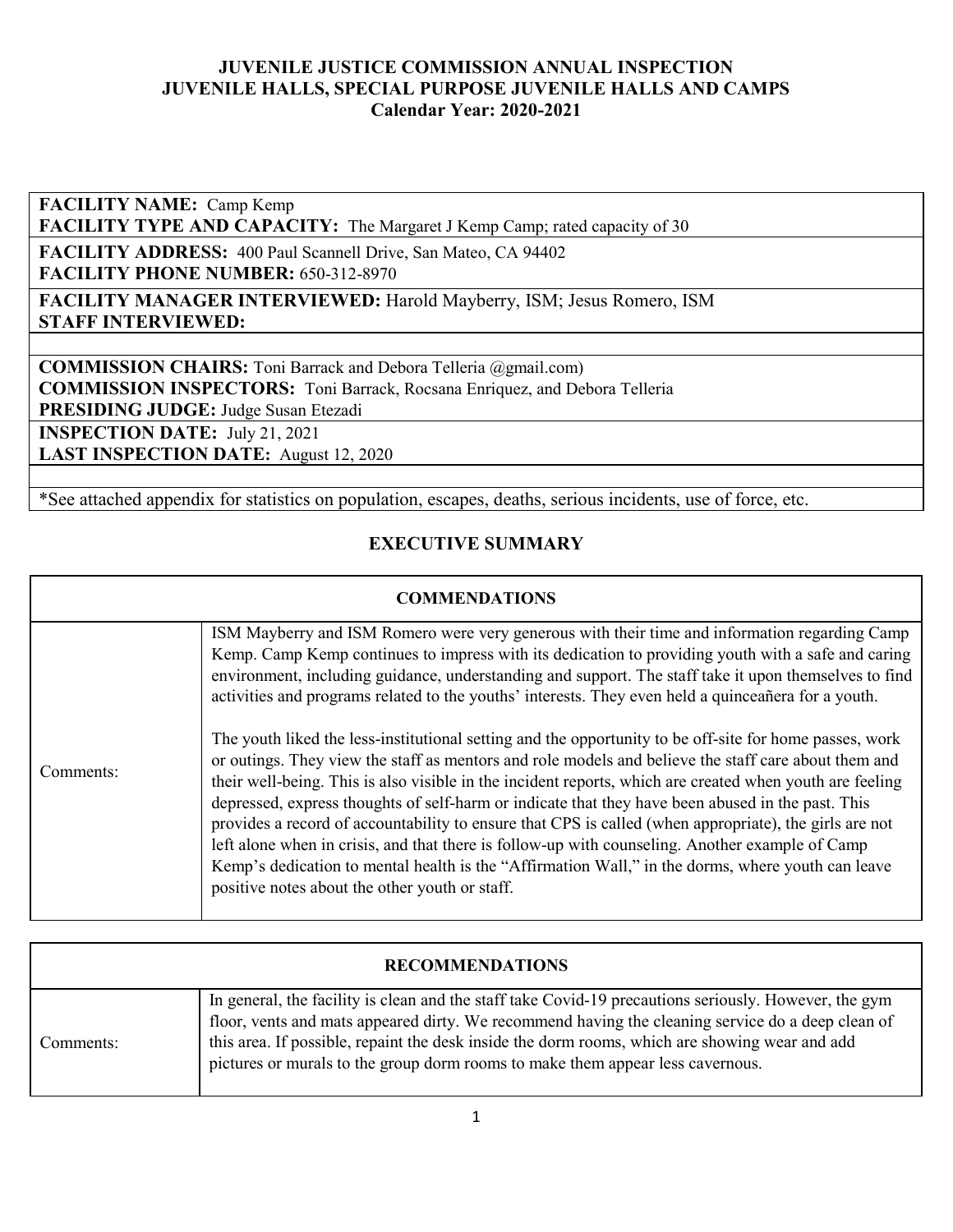**FACILITY NAME:** Camp Kemp

FACILITY TYPE AND CAPACITY: The Margaret J Kemp Camp; rated capacity of 30

**FACILITY ADDRESS:** 400 Paul Scannell Drive, San Mateo, CA 94402 **FACILITY PHONE NUMBER:** 650-312-8970

**FACILITY MANAGER INTERVIEWED:** Harold Mayberry, ISM; Jesus Romero, ISM **STAFF INTERVIEWED:** 

**COMMISSION CHAIRS:** Toni Barrack and Debora Telleria @gmail.com)

**COMMISSION INSPECTORS:** Toni Barrack, Rocsana Enriquez, and Debora Telleria

**PRESIDING JUDGE:** Judge Susan Etezadi

**INSPECTION DATE:** July 21, 2021

**LAST INSPECTION DATE:** August 12, 2020

\*See attached appendix for statistics on population, escapes, deaths, serious incidents, use of force, etc.

### **EXECUTIVE SUMMARY**

#### **COMMENDATIONS**

|           | ISM Mayberry and ISM Romero were very generous with their time and information regarding Camp<br>Kemp. Camp Kemp continues to impress with its dedication to providing youth with a safe and caring<br>environment, including guidance, understanding and support. The staff take it upon themselves to find<br>activities and programs related to the youths' interests. They even held a quinceañera for a youth.                                                                                                                                                                                                                                                                                                                                                                                  |
|-----------|------------------------------------------------------------------------------------------------------------------------------------------------------------------------------------------------------------------------------------------------------------------------------------------------------------------------------------------------------------------------------------------------------------------------------------------------------------------------------------------------------------------------------------------------------------------------------------------------------------------------------------------------------------------------------------------------------------------------------------------------------------------------------------------------------|
| Comments: | The youth liked the less-institutional setting and the opportunity to be off-site for home passes, work<br>or outings. They view the staff as mentors and role models and believe the staff care about them and<br>their well-being. This is also visible in the incident reports, which are created when youth are feeling<br>depressed, express thoughts of self-harm or indicate that they have been abused in the past. This<br>provides a record of accountability to ensure that CPS is called (when appropriate), the girls are not<br>left alone when in crisis, and that there is follow-up with counseling. Another example of Camp<br>Kemp's dedication to mental health is the "Affirmation Wall," in the dorms, where youth can leave<br>positive notes about the other youth or staff. |

| <b>RECOMMENDATIONS</b> |                                                                                                                                                                                                                                                                                                                                                                                                |  |  |  |  |  |
|------------------------|------------------------------------------------------------------------------------------------------------------------------------------------------------------------------------------------------------------------------------------------------------------------------------------------------------------------------------------------------------------------------------------------|--|--|--|--|--|
| Comments:              | In general, the facility is clean and the staff take Covid-19 precautions seriously. However, the gym<br>floor, vents and mats appeared dirty. We recommend having the cleaning service do a deep clean of<br>this area. If possible, repaint the desk inside the dorm rooms, which are showing wear and add<br>pictures or murals to the group dorm rooms to make them appear less cavernous. |  |  |  |  |  |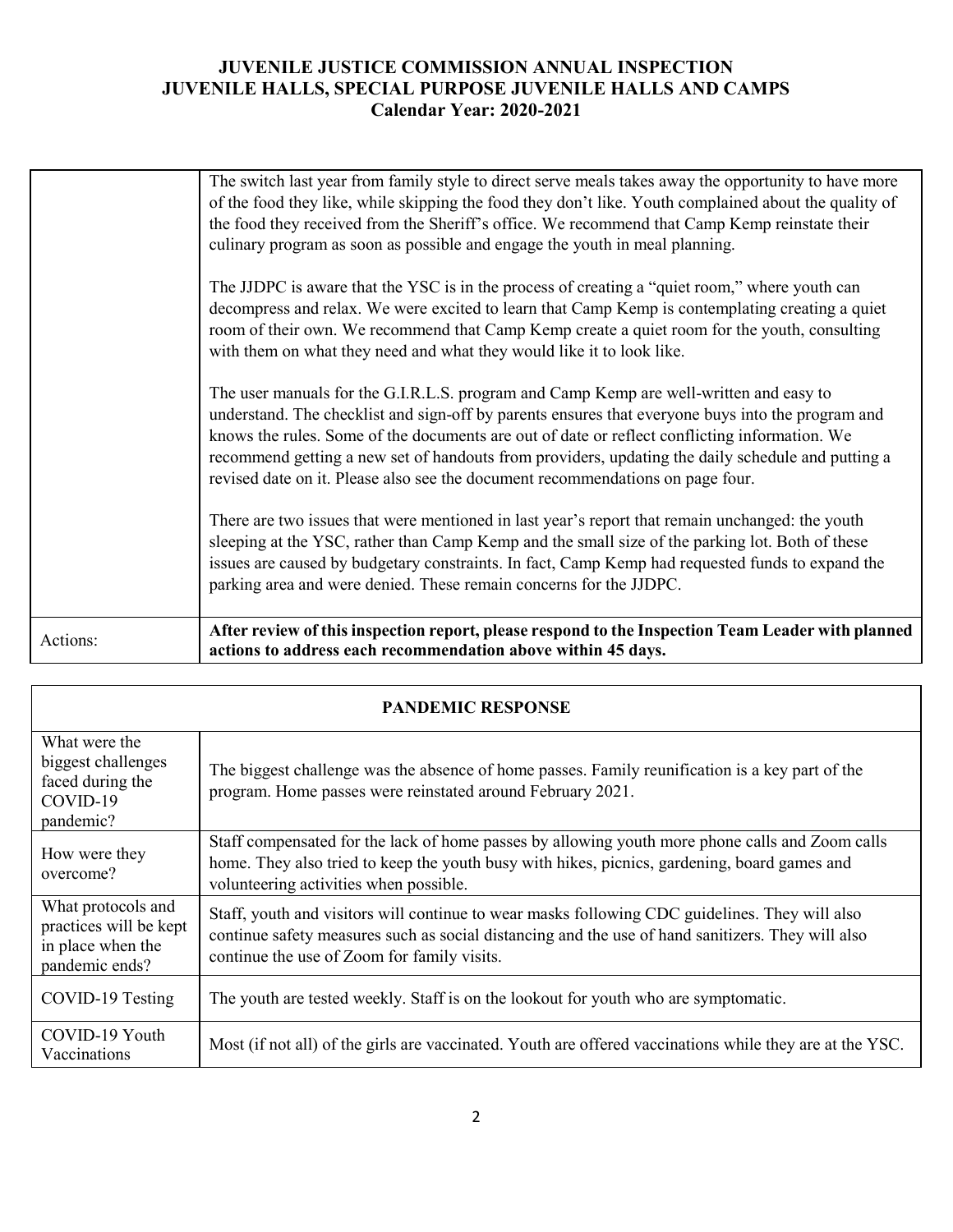| the food they received from the Sheriff's office. We recommend that Camp Kemp reinstate their<br>culinary program as soon as possible and engage the youth in meal planning.<br>The JJDPC is aware that the YSC is in the process of creating a "quiet room," where youth can<br>decompress and relax. We were excited to learn that Camp Kemp is contemplating creating a quiet<br>room of their own. We recommend that Camp Kemp create a quiet room for the youth, consulting<br>with them on what they need and what they would like it to look like.<br>The user manuals for the G.I.R.L.S. program and Camp Kemp are well-written and easy to<br>understand. The checklist and sign-off by parents ensures that everyone buys into the program and<br>knows the rules. Some of the documents are out of date or reflect conflicting information. We<br>recommend getting a new set of handouts from providers, updating the daily schedule and putting a<br>revised date on it. Please also see the document recommendations on page four.<br>There are two issues that were mentioned in last year's report that remain unchanged: the youth<br>sleeping at the YSC, rather than Camp Kemp and the small size of the parking lot. Both of these<br>issues are caused by budgetary constraints. In fact, Camp Kemp had requested funds to expand the<br>parking area and were denied. These remain concerns for the JJDPC. | Actions: | After review of this inspection report, please respond to the Inspection Team Leader with planned<br>actions to address each recommendation above within 45 days. |
|----------------------------------------------------------------------------------------------------------------------------------------------------------------------------------------------------------------------------------------------------------------------------------------------------------------------------------------------------------------------------------------------------------------------------------------------------------------------------------------------------------------------------------------------------------------------------------------------------------------------------------------------------------------------------------------------------------------------------------------------------------------------------------------------------------------------------------------------------------------------------------------------------------------------------------------------------------------------------------------------------------------------------------------------------------------------------------------------------------------------------------------------------------------------------------------------------------------------------------------------------------------------------------------------------------------------------------------------------------------------------------------------------------------------------------|----------|-------------------------------------------------------------------------------------------------------------------------------------------------------------------|
|                                                                                                                                                                                                                                                                                                                                                                                                                                                                                                                                                                                                                                                                                                                                                                                                                                                                                                                                                                                                                                                                                                                                                                                                                                                                                                                                                                                                                                  |          |                                                                                                                                                                   |
|                                                                                                                                                                                                                                                                                                                                                                                                                                                                                                                                                                                                                                                                                                                                                                                                                                                                                                                                                                                                                                                                                                                                                                                                                                                                                                                                                                                                                                  |          |                                                                                                                                                                   |
|                                                                                                                                                                                                                                                                                                                                                                                                                                                                                                                                                                                                                                                                                                                                                                                                                                                                                                                                                                                                                                                                                                                                                                                                                                                                                                                                                                                                                                  |          |                                                                                                                                                                   |
| The switch last year from family style to direct serve meals takes away the opportunity to have more                                                                                                                                                                                                                                                                                                                                                                                                                                                                                                                                                                                                                                                                                                                                                                                                                                                                                                                                                                                                                                                                                                                                                                                                                                                                                                                             |          | of the food they like, while skipping the food they don't like. Youth complained about the quality of                                                             |

| <b>PANDEMIC RESPONSE</b>                                                            |                                                                                                                                                                                                                                                    |  |  |  |  |  |
|-------------------------------------------------------------------------------------|----------------------------------------------------------------------------------------------------------------------------------------------------------------------------------------------------------------------------------------------------|--|--|--|--|--|
| What were the<br>biggest challenges<br>faced during the<br>COVID-19<br>pandemic?    | The biggest challenge was the absence of home passes. Family reunification is a key part of the<br>program. Home passes were reinstated around February 2021.                                                                                      |  |  |  |  |  |
| How were they<br>overcome?                                                          | Staff compensated for the lack of home passes by allowing youth more phone calls and Zoom calls<br>home. They also tried to keep the youth busy with hikes, picnics, gardening, board games and<br>volunteering activities when possible.          |  |  |  |  |  |
| What protocols and<br>practices will be kept<br>in place when the<br>pandemic ends? | Staff, youth and visitors will continue to wear masks following CDC guidelines. They will also<br>continue safety measures such as social distancing and the use of hand sanitizers. They will also<br>continue the use of Zoom for family visits. |  |  |  |  |  |
| COVID-19 Testing                                                                    | The youth are tested weekly. Staff is on the lookout for youth who are symptomatic.                                                                                                                                                                |  |  |  |  |  |
| COVID-19 Youth<br>Vaccinations                                                      | Most (if not all) of the girls are vaccinated. Youth are offered vaccinations while they are at the YSC.                                                                                                                                           |  |  |  |  |  |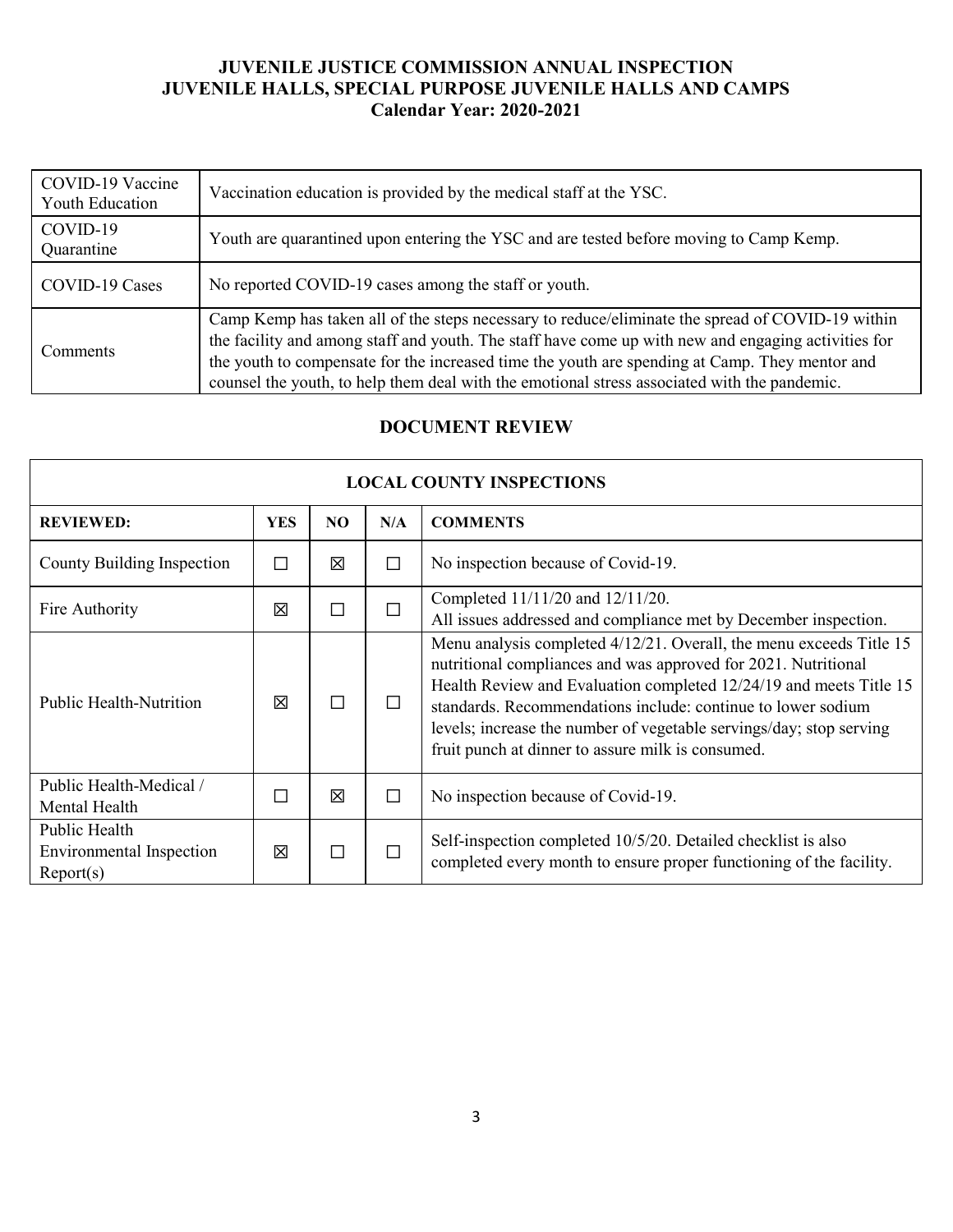| COVID-19 Vaccine<br>Youth Education | Vaccination education is provided by the medical staff at the YSC.                                                                                                                                                                                                                                                                                                                                        |
|-------------------------------------|-----------------------------------------------------------------------------------------------------------------------------------------------------------------------------------------------------------------------------------------------------------------------------------------------------------------------------------------------------------------------------------------------------------|
| COVID-19<br>Quarantine              | Youth are quarantined upon entering the YSC and are tested before moving to Camp Kemp.                                                                                                                                                                                                                                                                                                                    |
| COVID-19 Cases                      | No reported COVID-19 cases among the staff or youth.                                                                                                                                                                                                                                                                                                                                                      |
| Comments                            | Camp Kemp has taken all of the steps necessary to reduce/eliminate the spread of COVID-19 within<br>the facility and among staff and youth. The staff have come up with new and engaging activities for<br>the youth to compensate for the increased time the youth are spending at Camp. They mentor and<br>counsel the youth, to help them deal with the emotional stress associated with the pandemic. |

### **DOCUMENT REVIEW**

| <b>LOCAL COUNTY INSPECTIONS</b>                        |            |     |        |                                                                                                                                                                                                                                                                                                                                                                                                         |  |
|--------------------------------------------------------|------------|-----|--------|---------------------------------------------------------------------------------------------------------------------------------------------------------------------------------------------------------------------------------------------------------------------------------------------------------------------------------------------------------------------------------------------------------|--|
| <b>REVIEWED:</b>                                       | <b>YES</b> | NO. | N/A    | <b>COMMENTS</b>                                                                                                                                                                                                                                                                                                                                                                                         |  |
| County Building Inspection                             | П          | 区   | $\Box$ | No inspection because of Covid-19.                                                                                                                                                                                                                                                                                                                                                                      |  |
| Fire Authority                                         | 冈          | П   | $\Box$ | Completed 11/11/20 and 12/11/20.<br>All issues addressed and compliance met by December inspection.                                                                                                                                                                                                                                                                                                     |  |
| <b>Public Health-Nutrition</b>                         | 冈          | П   | П      | Menu analysis completed 4/12/21. Overall, the menu exceeds Title 15<br>nutritional compliances and was approved for 2021. Nutritional<br>Health Review and Evaluation completed 12/24/19 and meets Title 15<br>standards. Recommendations include: continue to lower sodium<br>levels; increase the number of vegetable servings/day; stop serving<br>fruit punch at dinner to assure milk is consumed. |  |
| Public Health-Medical /<br>Mental Health               |            | 冈   | П      | No inspection because of Covid-19.                                                                                                                                                                                                                                                                                                                                                                      |  |
| Public Health<br>Environmental Inspection<br>Report(s) | 冈          | П   | П      | Self-inspection completed 10/5/20. Detailed checklist is also<br>completed every month to ensure proper functioning of the facility.                                                                                                                                                                                                                                                                    |  |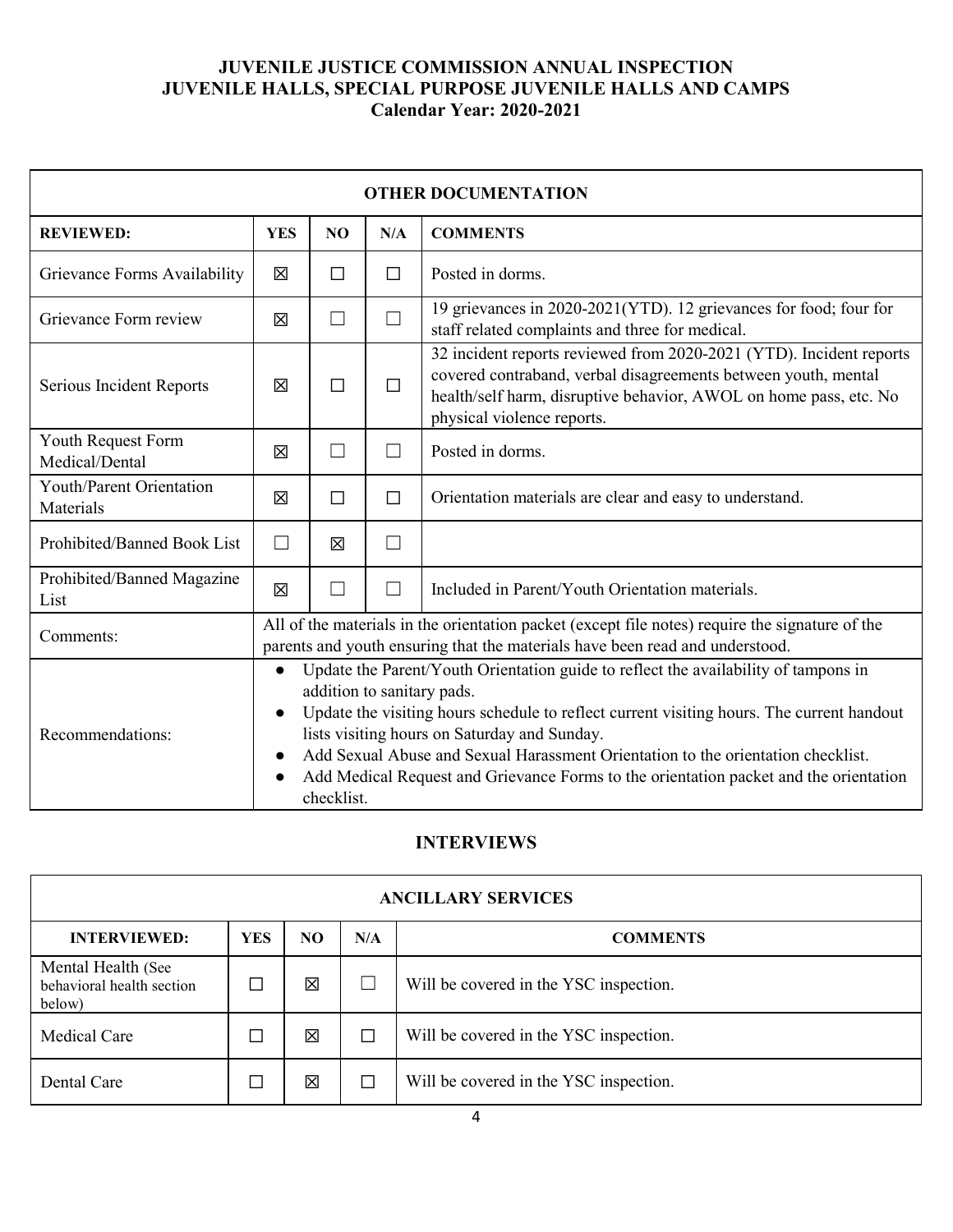| <b>OTHER DOCUMENTATION</b>            |                                                                                                                                                                                                                                                                                                                                                                                                                                                                                                  |                   |        |                                                                                                                                                                                                                                          |  |
|---------------------------------------|--------------------------------------------------------------------------------------------------------------------------------------------------------------------------------------------------------------------------------------------------------------------------------------------------------------------------------------------------------------------------------------------------------------------------------------------------------------------------------------------------|-------------------|--------|------------------------------------------------------------------------------------------------------------------------------------------------------------------------------------------------------------------------------------------|--|
| <b>REVIEWED:</b>                      | <b>YES</b>                                                                                                                                                                                                                                                                                                                                                                                                                                                                                       | N <sub>O</sub>    | N/A    | <b>COMMENTS</b>                                                                                                                                                                                                                          |  |
| Grievance Forms Availability          | 区                                                                                                                                                                                                                                                                                                                                                                                                                                                                                                | П                 | $\Box$ | Posted in dorms.                                                                                                                                                                                                                         |  |
| Grievance Form review                 | 冈                                                                                                                                                                                                                                                                                                                                                                                                                                                                                                | $\vert \ \ \vert$ | $\Box$ | 19 grievances in 2020-2021(YTD). 12 grievances for food; four for<br>staff related complaints and three for medical.                                                                                                                     |  |
| Serious Incident Reports              | 区                                                                                                                                                                                                                                                                                                                                                                                                                                                                                                | П                 | $\Box$ | 32 incident reports reviewed from 2020-2021 (YTD). Incident reports<br>covered contraband, verbal disagreements between youth, mental<br>health/self harm, disruptive behavior, AWOL on home pass, etc. No<br>physical violence reports. |  |
| Youth Request Form<br>Medical/Dental  | 冈                                                                                                                                                                                                                                                                                                                                                                                                                                                                                                |                   | П      | Posted in dorms.                                                                                                                                                                                                                         |  |
| Youth/Parent Orientation<br>Materials | 冈                                                                                                                                                                                                                                                                                                                                                                                                                                                                                                | П                 | $\Box$ | Orientation materials are clear and easy to understand.                                                                                                                                                                                  |  |
| Prohibited/Banned Book List           | $\vert \ \ \vert$                                                                                                                                                                                                                                                                                                                                                                                                                                                                                | 区                 | $\Box$ |                                                                                                                                                                                                                                          |  |
| Prohibited/Banned Magazine<br>List    | 区                                                                                                                                                                                                                                                                                                                                                                                                                                                                                                |                   | П      | Included in Parent/Youth Orientation materials.                                                                                                                                                                                          |  |
| Comments:                             | All of the materials in the orientation packet (except file notes) require the signature of the<br>parents and youth ensuring that the materials have been read and understood.                                                                                                                                                                                                                                                                                                                  |                   |        |                                                                                                                                                                                                                                          |  |
| Recommendations:                      | Update the Parent/Youth Orientation guide to reflect the availability of tampons in<br>$\bullet$<br>addition to sanitary pads.<br>Update the visiting hours schedule to reflect current visiting hours. The current handout<br>$\bullet$<br>lists visiting hours on Saturday and Sunday.<br>Add Sexual Abuse and Sexual Harassment Orientation to the orientation checklist.<br>$\bullet$<br>Add Medical Request and Grievance Forms to the orientation packet and the orientation<br>checklist. |                   |        |                                                                                                                                                                                                                                          |  |

# **INTERVIEWS**

| <b>ANCILLARY SERVICES</b>                                 |            |     |        |                                        |  |
|-----------------------------------------------------------|------------|-----|--------|----------------------------------------|--|
| <b>INTERVIEWED:</b>                                       | <b>YES</b> | NO. | N/A    | <b>COMMENTS</b>                        |  |
| Mental Health (See<br>behavioral health section<br>below) |            | 図   |        | Will be covered in the YSC inspection. |  |
| Medical Care                                              |            | 図   | □      | Will be covered in the YSC inspection. |  |
| Dental Care                                               |            | 冈   | $\Box$ | Will be covered in the YSC inspection. |  |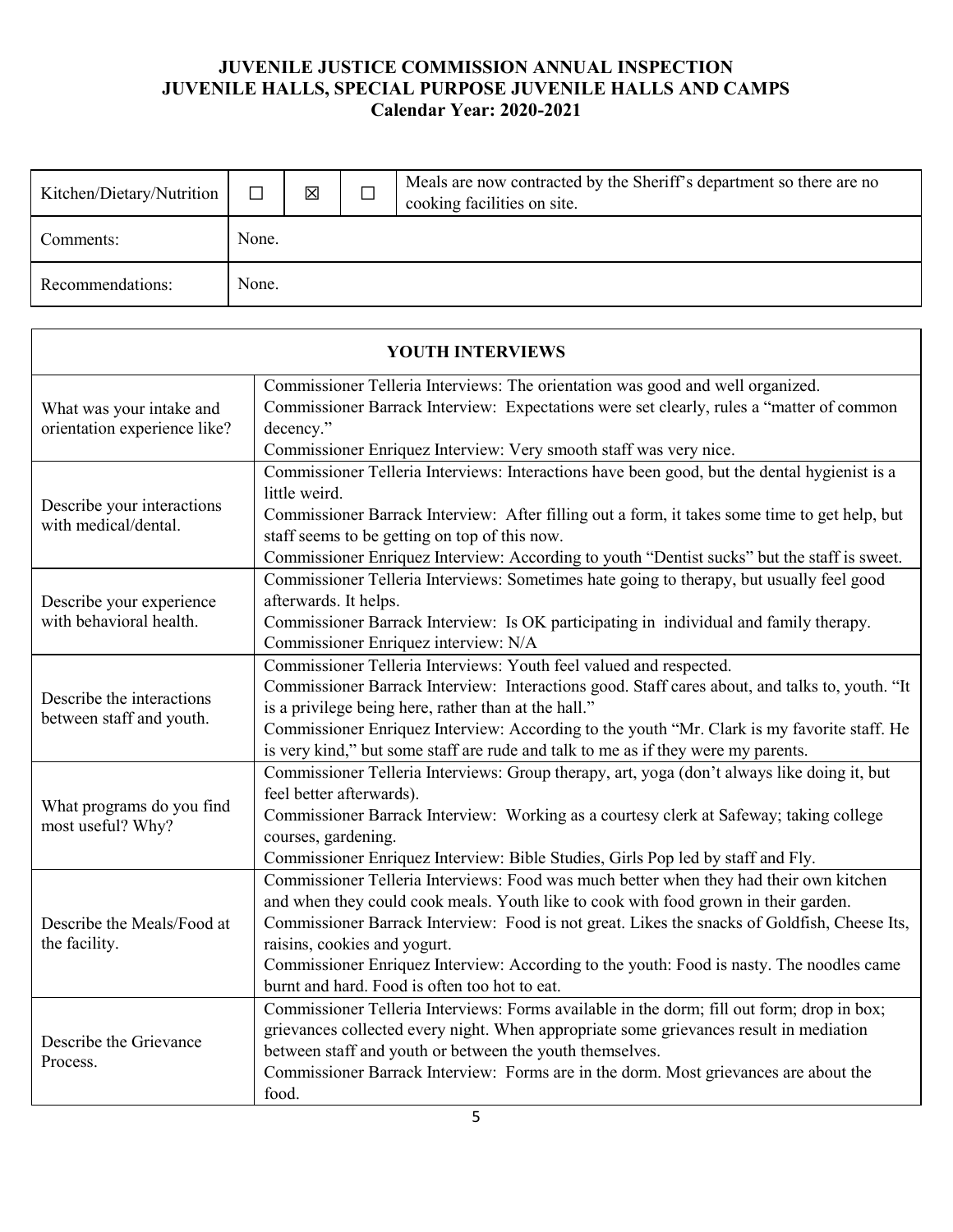| Kitchen/Dietary/Nutrition |       | 区 | Meals are now contracted by the Sheriff's department so there are no<br>cooking facilities on site. |
|---------------------------|-------|---|-----------------------------------------------------------------------------------------------------|
| Comments:                 | None. |   |                                                                                                     |
| Recommendations:          | None. |   |                                                                                                     |

| <b>YOUTH INTERVIEWS</b>                                  |                                                                                                                                                                                                                                                                                                                                                                                                                                                            |  |  |  |  |
|----------------------------------------------------------|------------------------------------------------------------------------------------------------------------------------------------------------------------------------------------------------------------------------------------------------------------------------------------------------------------------------------------------------------------------------------------------------------------------------------------------------------------|--|--|--|--|
| What was your intake and<br>orientation experience like? | Commissioner Telleria Interviews: The orientation was good and well organized.<br>Commissioner Barrack Interview: Expectations were set clearly, rules a "matter of common<br>decency."<br>Commissioner Enriquez Interview: Very smooth staff was very nice.                                                                                                                                                                                               |  |  |  |  |
| Describe your interactions<br>with medical/dental.       | Commissioner Telleria Interviews: Interactions have been good, but the dental hygienist is a<br>little weird.<br>Commissioner Barrack Interview: After filling out a form, it takes some time to get help, but<br>staff seems to be getting on top of this now.<br>Commissioner Enriquez Interview: According to youth "Dentist sucks" but the staff is sweet.                                                                                             |  |  |  |  |
| Describe your experience<br>with behavioral health.      | Commissioner Telleria Interviews: Sometimes hate going to therapy, but usually feel good<br>afterwards. It helps.<br>Commissioner Barrack Interview: Is OK participating in individual and family therapy.<br>Commissioner Enriquez interview: N/A                                                                                                                                                                                                         |  |  |  |  |
| Describe the interactions<br>between staff and youth.    | Commissioner Telleria Interviews: Youth feel valued and respected.<br>Commissioner Barrack Interview: Interactions good. Staff cares about, and talks to, youth. "It<br>is a privilege being here, rather than at the hall."<br>Commissioner Enriquez Interview: According to the youth "Mr. Clark is my favorite staff. He<br>is very kind," but some staff are rude and talk to me as if they were my parents.                                           |  |  |  |  |
| What programs do you find<br>most useful? Why?           | Commissioner Telleria Interviews: Group therapy, art, yoga (don't always like doing it, but<br>feel better afterwards).<br>Commissioner Barrack Interview: Working as a courtesy clerk at Safeway; taking college<br>courses, gardening.<br>Commissioner Enriquez Interview: Bible Studies, Girls Pop led by staff and Fly.                                                                                                                                |  |  |  |  |
| Describe the Meals/Food at<br>the facility.              | Commissioner Telleria Interviews: Food was much better when they had their own kitchen<br>and when they could cook meals. Youth like to cook with food grown in their garden.<br>Commissioner Barrack Interview: Food is not great. Likes the snacks of Goldfish, Cheese Its,<br>raisins, cookies and yogurt.<br>Commissioner Enriquez Interview: According to the youth: Food is nasty. The noodles came<br>burnt and hard. Food is often too hot to eat. |  |  |  |  |
| Describe the Grievance<br>Process.                       | Commissioner Telleria Interviews: Forms available in the dorm; fill out form; drop in box;<br>grievances collected every night. When appropriate some grievances result in mediation<br>between staff and youth or between the youth themselves.<br>Commissioner Barrack Interview: Forms are in the dorm. Most grievances are about the<br>food.                                                                                                          |  |  |  |  |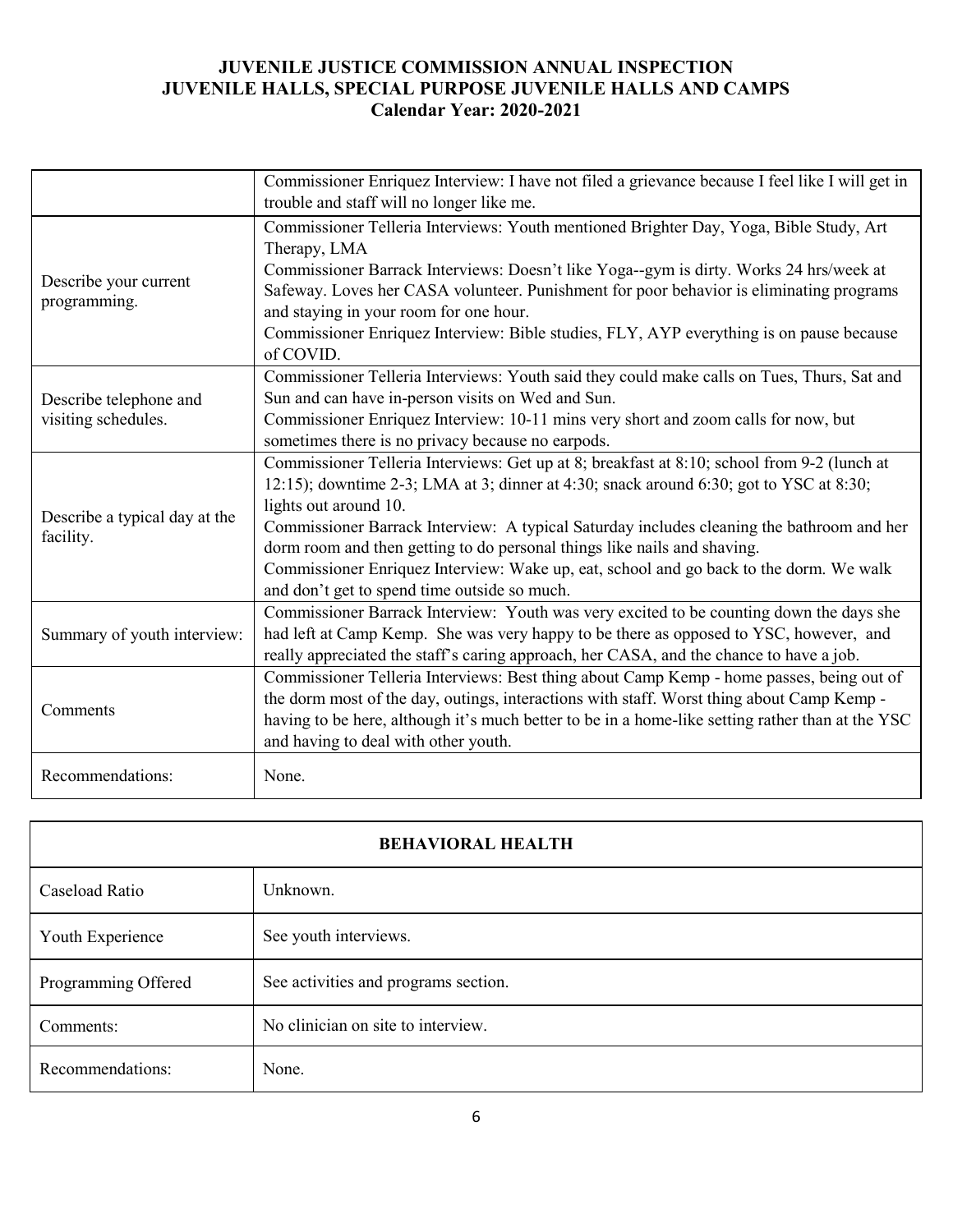|                                            | Commissioner Enriquez Interview: I have not filed a grievance because I feel like I will get in<br>trouble and staff will no longer like me.                                                                                                                                                                                                                                                                                                                                                                                      |
|--------------------------------------------|-----------------------------------------------------------------------------------------------------------------------------------------------------------------------------------------------------------------------------------------------------------------------------------------------------------------------------------------------------------------------------------------------------------------------------------------------------------------------------------------------------------------------------------|
|                                            | Commissioner Telleria Interviews: Youth mentioned Brighter Day, Yoga, Bible Study, Art<br>Therapy, LMA                                                                                                                                                                                                                                                                                                                                                                                                                            |
| Describe your current<br>programming.      | Commissioner Barrack Interviews: Doesn't like Yoga--gym is dirty. Works 24 hrs/week at<br>Safeway. Loves her CASA volunteer. Punishment for poor behavior is eliminating programs                                                                                                                                                                                                                                                                                                                                                 |
|                                            | and staying in your room for one hour.<br>Commissioner Enriquez Interview: Bible studies, FLY, AYP everything is on pause because<br>of COVID.                                                                                                                                                                                                                                                                                                                                                                                    |
| Describe telephone and                     | Commissioner Telleria Interviews: Youth said they could make calls on Tues, Thurs, Sat and<br>Sun and can have in-person visits on Wed and Sun.                                                                                                                                                                                                                                                                                                                                                                                   |
| visiting schedules.                        | Commissioner Enriquez Interview: 10-11 mins very short and zoom calls for now, but<br>sometimes there is no privacy because no earpods.                                                                                                                                                                                                                                                                                                                                                                                           |
| Describe a typical day at the<br>facility. | Commissioner Telleria Interviews: Get up at 8; breakfast at 8:10; school from 9-2 (lunch at<br>12:15); downtime 2-3; LMA at 3; dinner at 4:30; snack around 6:30; got to YSC at 8:30;<br>lights out around 10.<br>Commissioner Barrack Interview: A typical Saturday includes cleaning the bathroom and her<br>dorm room and then getting to do personal things like nails and shaving.<br>Commissioner Enriquez Interview: Wake up, eat, school and go back to the dorm. We walk<br>and don't get to spend time outside so much. |
| Summary of youth interview:                | Commissioner Barrack Interview: Youth was very excited to be counting down the days she<br>had left at Camp Kemp. She was very happy to be there as opposed to YSC, however, and<br>really appreciated the staff's caring approach, her CASA, and the chance to have a job.                                                                                                                                                                                                                                                       |
| Comments                                   | Commissioner Telleria Interviews: Best thing about Camp Kemp - home passes, being out of<br>the dorm most of the day, outings, interactions with staff. Worst thing about Camp Kemp -<br>having to be here, although it's much better to be in a home-like setting rather than at the YSC<br>and having to deal with other youth.                                                                                                                                                                                                 |
| Recommendations:                           | None.                                                                                                                                                                                                                                                                                                                                                                                                                                                                                                                             |

| <b>BEHAVIORAL HEALTH</b> |                                      |  |  |  |
|--------------------------|--------------------------------------|--|--|--|
| Caseload Ratio           | Unknown.                             |  |  |  |
| Youth Experience         | See youth interviews.                |  |  |  |
| Programming Offered      | See activities and programs section. |  |  |  |
| Comments:                | No clinician on site to interview.   |  |  |  |
| Recommendations:         | None.                                |  |  |  |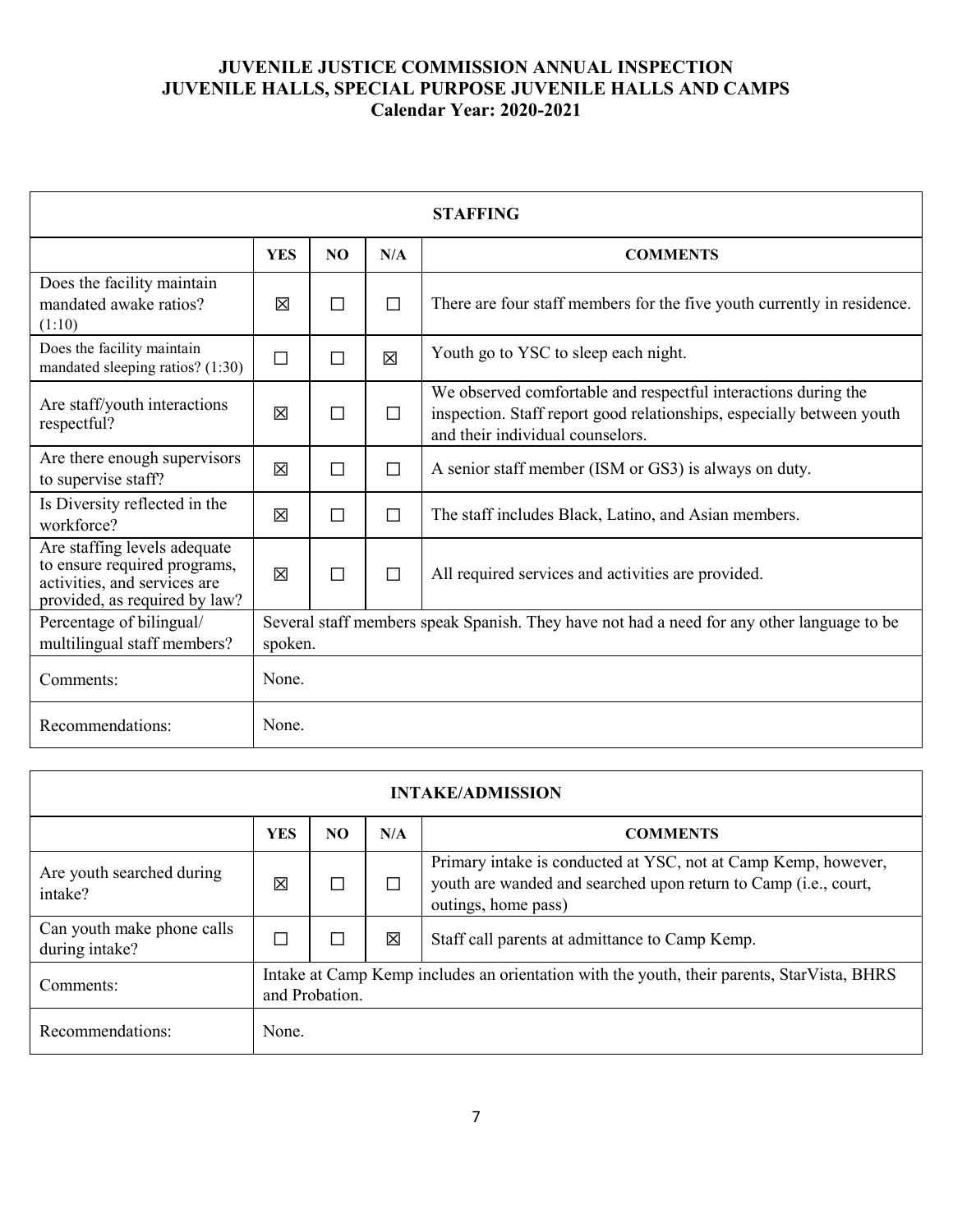| <b>STAFFING</b>                                                                                                               |            |                                                                                                       |        |                                                                                                                                                                             |
|-------------------------------------------------------------------------------------------------------------------------------|------------|-------------------------------------------------------------------------------------------------------|--------|-----------------------------------------------------------------------------------------------------------------------------------------------------------------------------|
|                                                                                                                               | <b>YES</b> | NO.                                                                                                   | N/A    | <b>COMMENTS</b>                                                                                                                                                             |
| Does the facility maintain<br>mandated awake ratios?<br>(1:10)                                                                | 区          | $\Box$                                                                                                | $\Box$ | There are four staff members for the five youth currently in residence.                                                                                                     |
| Does the facility maintain<br>mandated sleeping ratios? (1:30)                                                                | П          | $\Box$                                                                                                | 区      | Youth go to YSC to sleep each night.                                                                                                                                        |
| Are staff/youth interactions<br>respectful?                                                                                   | 冈          | $\Box$                                                                                                | $\Box$ | We observed comfortable and respectful interactions during the<br>inspection. Staff report good relationships, especially between youth<br>and their individual counselors. |
| Are there enough supervisors<br>to supervise staff?                                                                           | 区          | $\Box$                                                                                                | $\Box$ | A senior staff member (ISM or GS3) is always on duty.                                                                                                                       |
| Is Diversity reflected in the<br>workforce?                                                                                   | 冈          | $\Box$                                                                                                | $\Box$ | The staff includes Black, Latino, and Asian members.                                                                                                                        |
| Are staffing levels adequate<br>to ensure required programs,<br>activities, and services are<br>provided, as required by law? | 冈          | $\Box$                                                                                                | $\Box$ | All required services and activities are provided.                                                                                                                          |
| Percentage of bilingual/<br>multilingual staff members?                                                                       |            | Several staff members speak Spanish. They have not had a need for any other language to be<br>spoken. |        |                                                                                                                                                                             |
| Comments:                                                                                                                     | None.      |                                                                                                       |        |                                                                                                                                                                             |
| Recommendations:                                                                                                              | None.      |                                                                                                       |        |                                                                                                                                                                             |

| <b>INTAKE/ADMISSION</b>                      |            |                                                                                                              |     |                                                                                                                                                          |
|----------------------------------------------|------------|--------------------------------------------------------------------------------------------------------------|-----|----------------------------------------------------------------------------------------------------------------------------------------------------------|
|                                              | <b>YES</b> | NO.                                                                                                          | N/A | <b>COMMENTS</b>                                                                                                                                          |
| Are youth searched during<br>intake?         | ⊠          |                                                                                                              | ΙI  | Primary intake is conducted at YSC, not at Camp Kemp, however,<br>youth are wanded and searched upon return to Camp (i.e., court,<br>outings, home pass) |
| Can youth make phone calls<br>during intake? |            |                                                                                                              | 区   | Staff call parents at admittance to Camp Kemp.                                                                                                           |
| Comments:                                    |            | Intake at Camp Kemp includes an orientation with the youth, their parents, StarVista, BHRS<br>and Probation. |     |                                                                                                                                                          |
| Recommendations:                             | None.      |                                                                                                              |     |                                                                                                                                                          |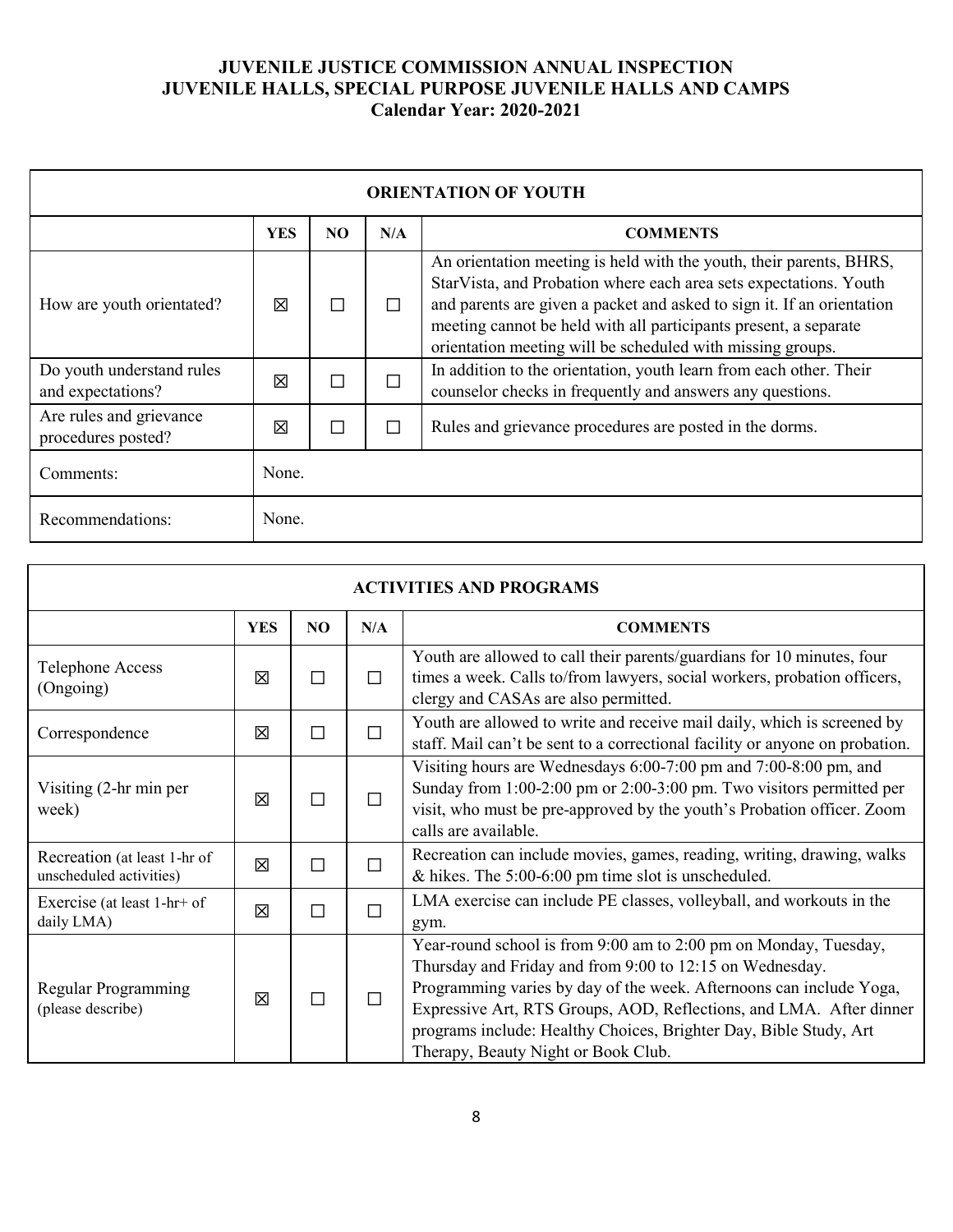| <b>ORIENTATION OF YOUTH</b>                    |            |     |     |                                                                                                                                                                                                                                                                                                                                                      |
|------------------------------------------------|------------|-----|-----|------------------------------------------------------------------------------------------------------------------------------------------------------------------------------------------------------------------------------------------------------------------------------------------------------------------------------------------------------|
|                                                | <b>YES</b> | NO. | N/A | <b>COMMENTS</b>                                                                                                                                                                                                                                                                                                                                      |
| How are youth orientated?                      | 冈          |     |     | An orientation meeting is held with the youth, their parents, BHRS,<br>StarVista, and Probation where each area sets expectations. Youth<br>and parents are given a packet and asked to sign it. If an orientation<br>meeting cannot be held with all participants present, a separate<br>orientation meeting will be scheduled with missing groups. |
| Do youth understand rules<br>and expectations? | 冈          |     | П   | In addition to the orientation, youth learn from each other. Their<br>counselor checks in frequently and answers any questions.                                                                                                                                                                                                                      |
| Are rules and grievance<br>procedures posted?  | 冈          |     | m,  | Rules and grievance procedures are posted in the dorms.                                                                                                                                                                                                                                                                                              |
| Comments:                                      | None.      |     |     |                                                                                                                                                                                                                                                                                                                                                      |
| Recommendations:                               | None.      |     |     |                                                                                                                                                                                                                                                                                                                                                      |

| <b>ACTIVITIES AND PROGRAMS</b>                          |            |                |     |                                                                                                                                                                                                                                                                                                                                                                                        |  |
|---------------------------------------------------------|------------|----------------|-----|----------------------------------------------------------------------------------------------------------------------------------------------------------------------------------------------------------------------------------------------------------------------------------------------------------------------------------------------------------------------------------------|--|
|                                                         | <b>YES</b> | N <sub>O</sub> | N/A | <b>COMMENTS</b>                                                                                                                                                                                                                                                                                                                                                                        |  |
| <b>Telephone Access</b><br>(Ongoing)                    | 冈          | П              | П   | Youth are allowed to call their parents/guardians for 10 minutes, four<br>times a week. Calls to/from lawyers, social workers, probation officers,<br>clergy and CASAs are also permitted.                                                                                                                                                                                             |  |
| Correspondence                                          | 区          | П              | П   | Youth are allowed to write and receive mail daily, which is screened by<br>staff. Mail can't be sent to a correctional facility or anyone on probation.                                                                                                                                                                                                                                |  |
| Visiting $(2-hr)$ min per<br>week)                      | 区          | П              | П   | Visiting hours are Wednesdays 6:00-7:00 pm and 7:00-8:00 pm, and<br>Sunday from 1:00-2:00 pm or 2:00-3:00 pm. Two visitors permitted per<br>visit, who must be pre-approved by the youth's Probation officer. Zoom<br>calls are available.                                                                                                                                             |  |
| Recreation (at least 1-hr of<br>unscheduled activities) | 区          | П              | П   | Recreation can include movies, games, reading, writing, drawing, walks<br>$&$ hikes. The 5:00-6:00 pm time slot is unscheduled.                                                                                                                                                                                                                                                        |  |
| Exercise (at least 1-hr+ of<br>daily LMA)               | 区          | П              | П   | LMA exercise can include PE classes, volleyball, and workouts in the<br>gym.                                                                                                                                                                                                                                                                                                           |  |
| Regular Programming<br>(please describe)                | 区          | П              | П   | Year-round school is from 9:00 am to 2:00 pm on Monday, Tuesday,<br>Thursday and Friday and from 9:00 to 12:15 on Wednesday.<br>Programming varies by day of the week. Afternoons can include Yoga,<br>Expressive Art, RTS Groups, AOD, Reflections, and LMA. After dinner<br>programs include: Healthy Choices, Brighter Day, Bible Study, Art<br>Therapy, Beauty Night or Book Club. |  |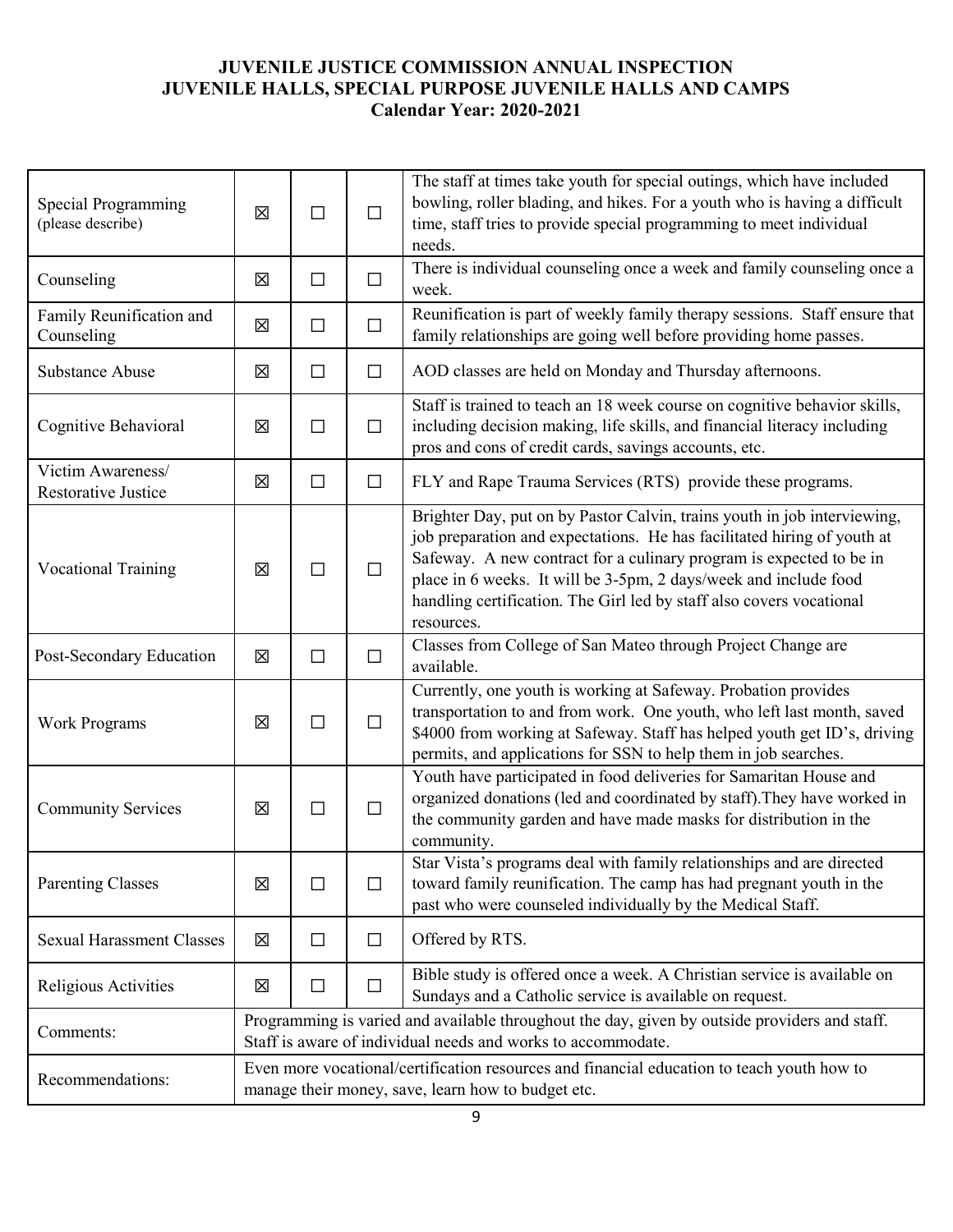| Special Programming<br>(please describe)        | 区 | $\Box$                                                                                                                                                        | $\Box$ | The staff at times take youth for special outings, which have included<br>bowling, roller blading, and hikes. For a youth who is having a difficult<br>time, staff tries to provide special programming to meet individual<br>needs.                                                                                                                                                 |  |  |
|-------------------------------------------------|---|---------------------------------------------------------------------------------------------------------------------------------------------------------------|--------|--------------------------------------------------------------------------------------------------------------------------------------------------------------------------------------------------------------------------------------------------------------------------------------------------------------------------------------------------------------------------------------|--|--|
| Counseling                                      | 区 | $\Box$                                                                                                                                                        | $\Box$ | There is individual counseling once a week and family counseling once a<br>week.                                                                                                                                                                                                                                                                                                     |  |  |
| Family Reunification and<br>Counseling          | 区 | □                                                                                                                                                             | $\Box$ | Reunification is part of weekly family therapy sessions. Staff ensure that<br>family relationships are going well before providing home passes.                                                                                                                                                                                                                                      |  |  |
| <b>Substance Abuse</b>                          | 区 | $\Box$                                                                                                                                                        | $\Box$ | AOD classes are held on Monday and Thursday afternoons.                                                                                                                                                                                                                                                                                                                              |  |  |
| Cognitive Behavioral                            | 区 | $\Box$                                                                                                                                                        | $\Box$ | Staff is trained to teach an 18 week course on cognitive behavior skills,<br>including decision making, life skills, and financial literacy including<br>pros and cons of credit cards, savings accounts, etc.                                                                                                                                                                       |  |  |
| Victim Awareness/<br><b>Restorative Justice</b> | 区 | $\Box$                                                                                                                                                        | $\Box$ | FLY and Rape Trauma Services (RTS) provide these programs.                                                                                                                                                                                                                                                                                                                           |  |  |
| <b>Vocational Training</b>                      | 区 | □                                                                                                                                                             | $\Box$ | Brighter Day, put on by Pastor Calvin, trains youth in job interviewing,<br>job preparation and expectations. He has facilitated hiring of youth at<br>Safeway. A new contract for a culinary program is expected to be in<br>place in 6 weeks. It will be 3-5pm, 2 days/week and include food<br>handling certification. The Girl led by staff also covers vocational<br>resources. |  |  |
| Post-Secondary Education                        | 区 | $\Box$                                                                                                                                                        | $\Box$ | Classes from College of San Mateo through Project Change are<br>available.                                                                                                                                                                                                                                                                                                           |  |  |
| <b>Work Programs</b>                            | X | $\Box$                                                                                                                                                        | $\Box$ | Currently, one youth is working at Safeway. Probation provides<br>transportation to and from work. One youth, who left last month, saved<br>\$4000 from working at Safeway. Staff has helped youth get ID's, driving<br>permits, and applications for SSN to help them in job searches.                                                                                              |  |  |
| <b>Community Services</b>                       | 区 | $\Box$                                                                                                                                                        | $\Box$ | Youth have participated in food deliveries for Samaritan House and<br>organized donations (led and coordinated by staff). They have worked in<br>the community garden and have made masks for distribution in the<br>community.                                                                                                                                                      |  |  |
| <b>Parenting Classes</b>                        | 区 | □                                                                                                                                                             | $\Box$ | Star Vista's programs deal with family relationships and are directed<br>toward family reunification. The camp has had pregnant youth in the<br>past who were counseled individually by the Medical Staff.                                                                                                                                                                           |  |  |
| <b>Sexual Harassment Classes</b>                | 区 | $\Box$                                                                                                                                                        | $\Box$ | Offered by RTS.                                                                                                                                                                                                                                                                                                                                                                      |  |  |
| Religious Activities                            | 区 | □                                                                                                                                                             | □      | Bible study is offered once a week. A Christian service is available on<br>Sundays and a Catholic service is available on request.                                                                                                                                                                                                                                                   |  |  |
| Comments:                                       |   | Programming is varied and available throughout the day, given by outside providers and staff.<br>Staff is aware of individual needs and works to accommodate. |        |                                                                                                                                                                                                                                                                                                                                                                                      |  |  |
| Recommendations:                                |   | Even more vocational/certification resources and financial education to teach youth how to<br>manage their money, save, learn how to budget etc.              |        |                                                                                                                                                                                                                                                                                                                                                                                      |  |  |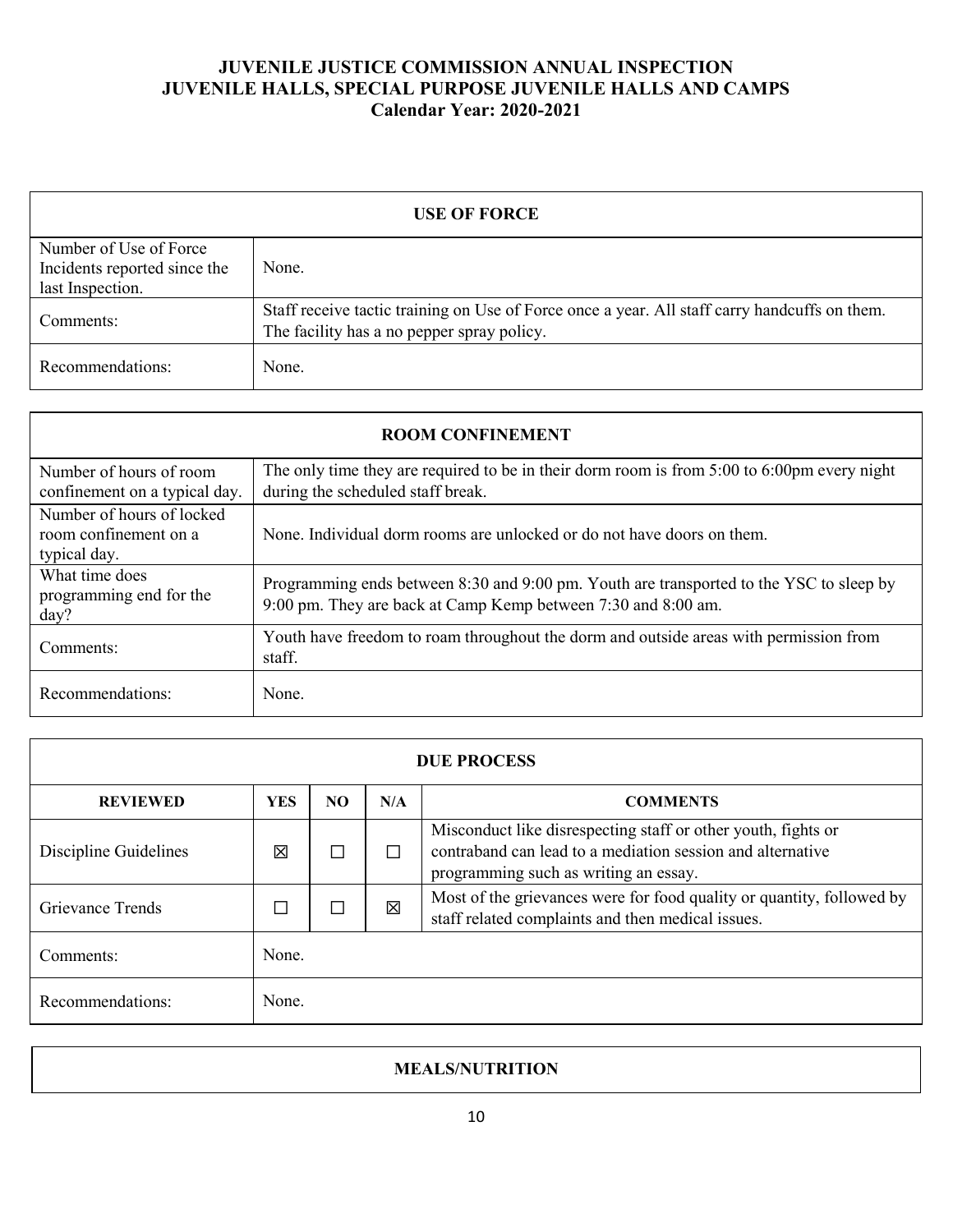| <b>USE OF FORCE</b>                                                        |                                                                                                                                             |  |  |  |  |
|----------------------------------------------------------------------------|---------------------------------------------------------------------------------------------------------------------------------------------|--|--|--|--|
| Number of Use of Force<br>Incidents reported since the<br>last Inspection. | None.                                                                                                                                       |  |  |  |  |
| Comments:                                                                  | Staff receive tactic training on Use of Force once a year. All staff carry handcuffs on them.<br>The facility has a no pepper spray policy. |  |  |  |  |
| Recommendations:                                                           | None.                                                                                                                                       |  |  |  |  |

| <b>ROOM CONFINEMENT</b>                                            |                                                                                                                                                          |  |  |  |  |  |  |
|--------------------------------------------------------------------|----------------------------------------------------------------------------------------------------------------------------------------------------------|--|--|--|--|--|--|
| Number of hours of room<br>confinement on a typical day.           | The only time they are required to be in their dorm room is from $5:00$ to $6:00$ pm every night<br>during the scheduled staff break.                    |  |  |  |  |  |  |
| Number of hours of locked<br>room confinement on a<br>typical day. | None. Individual dorm rooms are unlocked or do not have doors on them.                                                                                   |  |  |  |  |  |  |
| What time does<br>programming end for the<br>day?                  | Programming ends between 8:30 and 9:00 pm. Youth are transported to the YSC to sleep by<br>9:00 pm. They are back at Camp Kemp between 7:30 and 8:00 am. |  |  |  |  |  |  |
| Comments:                                                          | Youth have freedom to roam throughout the dorm and outside areas with permission from<br>staff.                                                          |  |  |  |  |  |  |
| Recommendations:                                                   | None.                                                                                                                                                    |  |  |  |  |  |  |

| <b>DUE PROCESS</b>      |            |     |     |                                                                                                                                                                      |
|-------------------------|------------|-----|-----|----------------------------------------------------------------------------------------------------------------------------------------------------------------------|
| <b>REVIEWED</b>         | <b>YES</b> | NO. | N/A | <b>COMMENTS</b>                                                                                                                                                      |
| Discipline Guidelines   | 図          |     | П   | Misconduct like disrespecting staff or other youth, fights or<br>contraband can lead to a mediation session and alternative<br>programming such as writing an essay. |
| <b>Grievance Trends</b> |            |     | 冈   | Most of the grievances were for food quality or quantity, followed by<br>staff related complaints and then medical issues.                                           |
| Comments:               | None.      |     |     |                                                                                                                                                                      |
| Recommendations:        | None.      |     |     |                                                                                                                                                                      |

### **MEALS/NUTRITION**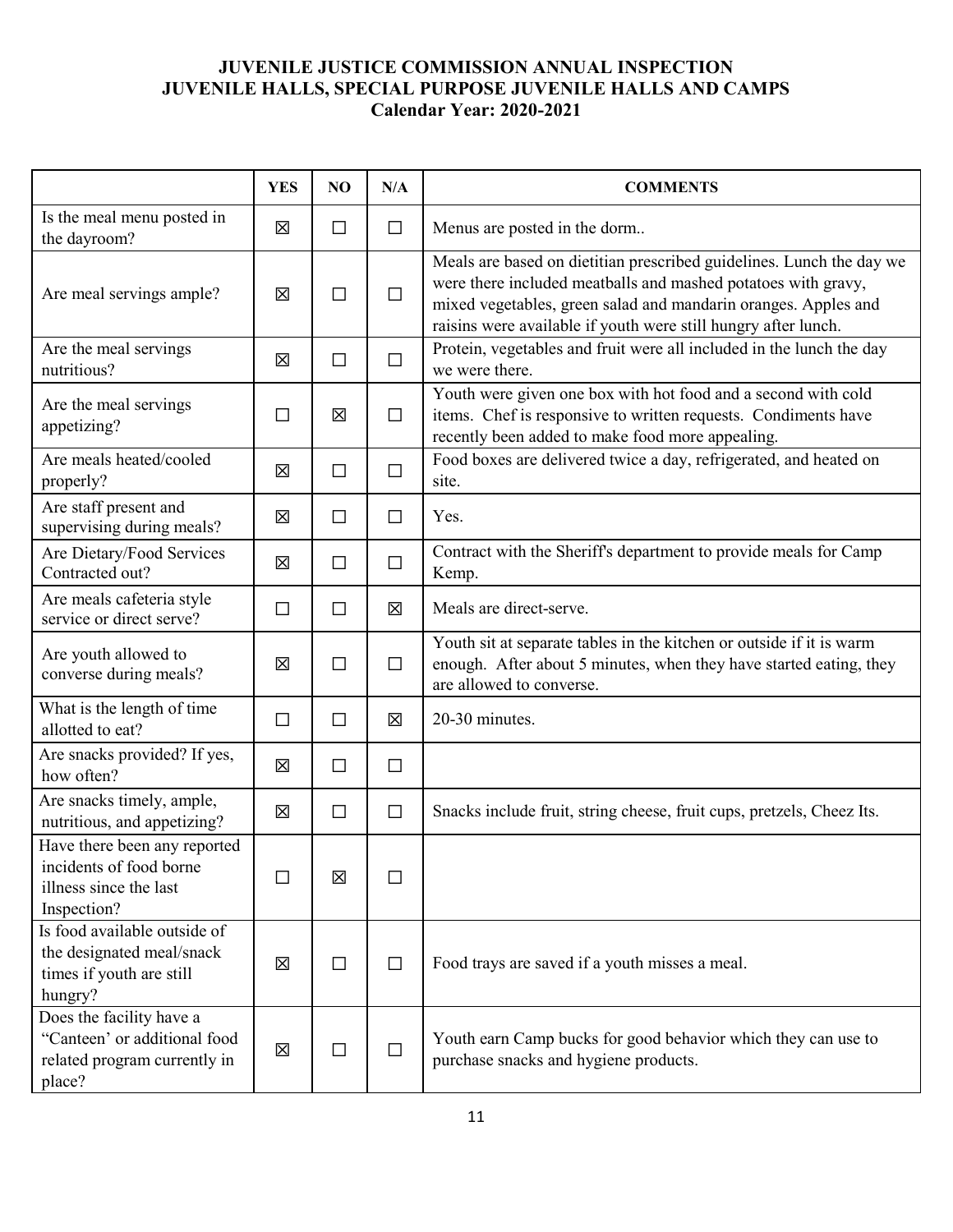|                                                                                                    | <b>YES</b> | N <sub>O</sub> | N/A    | <b>COMMENTS</b>                                                                                                                                                                                                                                                           |
|----------------------------------------------------------------------------------------------------|------------|----------------|--------|---------------------------------------------------------------------------------------------------------------------------------------------------------------------------------------------------------------------------------------------------------------------------|
| Is the meal menu posted in<br>the dayroom?                                                         | 図          | $\Box$         | $\Box$ | Menus are posted in the dorm                                                                                                                                                                                                                                              |
| Are meal servings ample?                                                                           | 区          | $\Box$         | $\Box$ | Meals are based on dietitian prescribed guidelines. Lunch the day we<br>were there included meatballs and mashed potatoes with gravy,<br>mixed vegetables, green salad and mandarin oranges. Apples and<br>raisins were available if youth were still hungry after lunch. |
| Are the meal servings<br>nutritious?                                                               | 区          | $\Box$         | $\Box$ | Protein, vegetables and fruit were all included in the lunch the day<br>we were there.                                                                                                                                                                                    |
| Are the meal servings<br>appetizing?                                                               | П          | 区              | $\Box$ | Youth were given one box with hot food and a second with cold<br>items. Chef is responsive to written requests. Condiments have<br>recently been added to make food more appealing.                                                                                       |
| Are meals heated/cooled<br>properly?                                                               | 図          | $\Box$         | $\Box$ | Food boxes are delivered twice a day, refrigerated, and heated on<br>site.                                                                                                                                                                                                |
| Are staff present and<br>supervising during meals?                                                 | 区          | $\Box$         | $\Box$ | Yes.                                                                                                                                                                                                                                                                      |
| Are Dietary/Food Services<br>Contracted out?                                                       | 区          | $\Box$         | $\Box$ | Contract with the Sheriff's department to provide meals for Camp<br>Kemp.                                                                                                                                                                                                 |
| Are meals cafeteria style<br>service or direct serve?                                              | □          | $\Box$         | 区      | Meals are direct-serve.                                                                                                                                                                                                                                                   |
| Are youth allowed to<br>converse during meals?                                                     | 区          | $\Box$         | $\Box$ | Youth sit at separate tables in the kitchen or outside if it is warm<br>enough. After about 5 minutes, when they have started eating, they<br>are allowed to converse.                                                                                                    |
| What is the length of time<br>allotted to eat?                                                     | □          | $\Box$         | 図      | 20-30 minutes.                                                                                                                                                                                                                                                            |
| Are snacks provided? If yes,<br>how often?                                                         | 区          | $\Box$         | $\Box$ |                                                                                                                                                                                                                                                                           |
| Are snacks timely, ample,<br>nutritious, and appetizing?                                           | 区          | $\Box$         | $\Box$ | Snacks include fruit, string cheese, fruit cups, pretzels, Cheez Its.                                                                                                                                                                                                     |
| Have there been any reported<br>incidents of food borne<br>illness since the last<br>Inspection?   |            | 区              | $\Box$ |                                                                                                                                                                                                                                                                           |
| Is food available outside of<br>the designated meal/snack<br>times if youth are still<br>hungry?   | 区          | $\Box$         | $\Box$ | Food trays are saved if a youth misses a meal.                                                                                                                                                                                                                            |
| Does the facility have a<br>"Canteen' or additional food<br>related program currently in<br>place? | 区          | $\Box$         | $\Box$ | Youth earn Camp bucks for good behavior which they can use to<br>purchase snacks and hygiene products.                                                                                                                                                                    |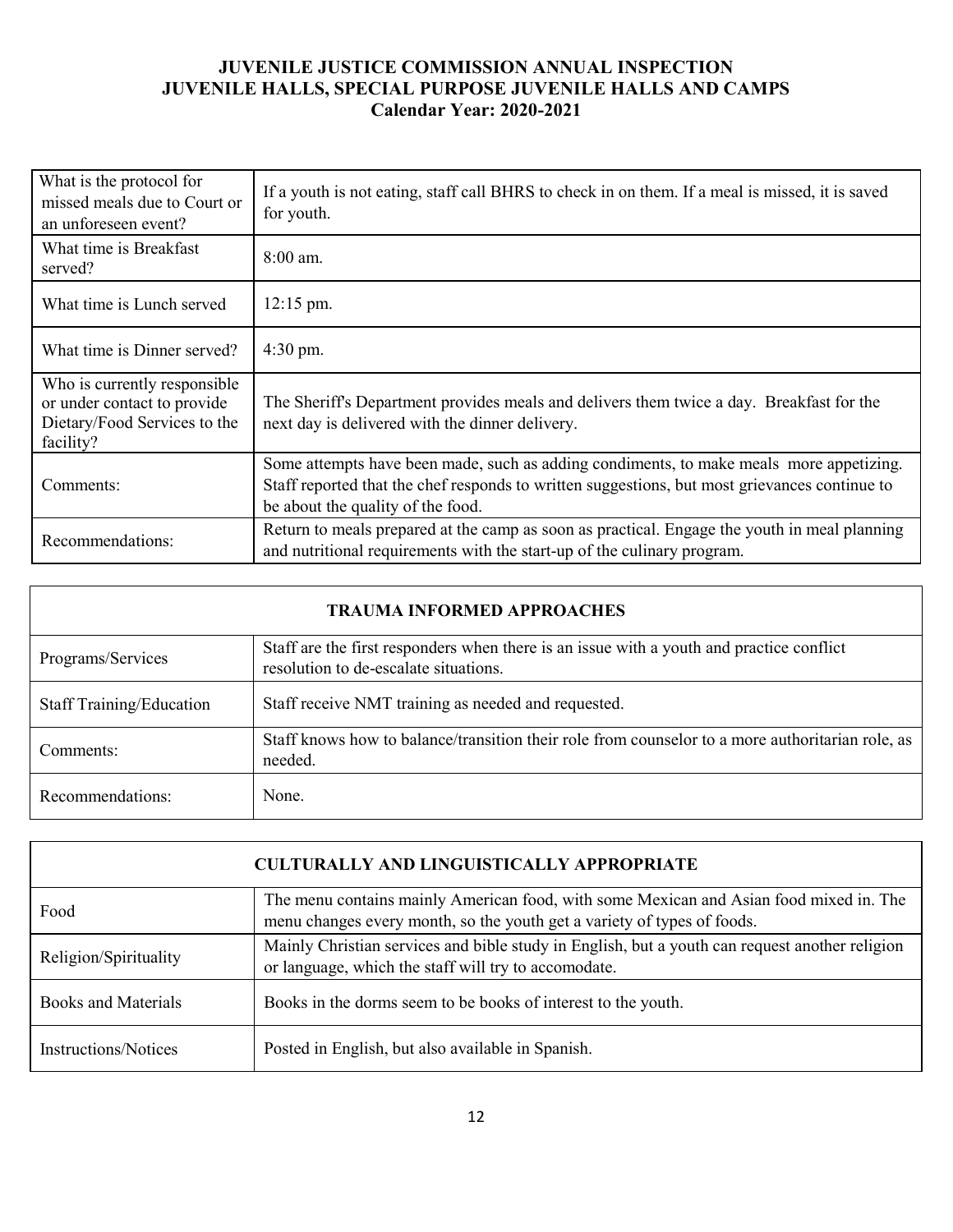| What is the protocol for<br>missed meals due to Court or<br>an unforeseen event?                         | If a youth is not eating, staff call BHRS to check in on them. If a meal is missed, it is saved<br>for youth.                                                                                                                 |
|----------------------------------------------------------------------------------------------------------|-------------------------------------------------------------------------------------------------------------------------------------------------------------------------------------------------------------------------------|
| What time is Breakfast<br>served?                                                                        | $8:00$ am.                                                                                                                                                                                                                    |
| What time is Lunch served                                                                                | $12:15$ pm.                                                                                                                                                                                                                   |
| What time is Dinner served?                                                                              | $4:30 \text{ pm}.$                                                                                                                                                                                                            |
| Who is currently responsible<br>or under contact to provide<br>Dietary/Food Services to the<br>facility? | The Sheriff's Department provides meals and delivers them twice a day. Breakfast for the<br>next day is delivered with the dinner delivery.                                                                                   |
| Comments:                                                                                                | Some attempts have been made, such as adding condiments, to make meals more appetizing.<br>Staff reported that the chef responds to written suggestions, but most grievances continue to<br>be about the quality of the food. |
| Recommendations:                                                                                         | Return to meals prepared at the camp as soon as practical. Engage the youth in meal planning<br>and nutritional requirements with the start-up of the culinary program.                                                       |

| <b>TRAUMA INFORMED APPROACHES</b> |                                                                                                                                   |  |  |  |  |
|-----------------------------------|-----------------------------------------------------------------------------------------------------------------------------------|--|--|--|--|
| Programs/Services                 | Staff are the first responders when there is an issue with a youth and practice conflict<br>resolution to de-escalate situations. |  |  |  |  |
| <b>Staff Training/Education</b>   | Staff receive NMT training as needed and requested.                                                                               |  |  |  |  |
| Comments:                         | Staff knows how to balance/transition their role from counselor to a more authoritarian role, as<br>needed.                       |  |  |  |  |
| Recommendations:                  | None.                                                                                                                             |  |  |  |  |

| <b>CULTURALLY AND LINGUISTICALLY APPROPRIATE</b> |                                                                                                                                                                   |  |  |  |  |
|--------------------------------------------------|-------------------------------------------------------------------------------------------------------------------------------------------------------------------|--|--|--|--|
| Food                                             | The menu contains mainly American food, with some Mexican and Asian food mixed in. The<br>menu changes every month, so the youth get a variety of types of foods. |  |  |  |  |
| Religion/Spirituality                            | Mainly Christian services and bible study in English, but a youth can request another religion<br>or language, which the staff will try to accomodate.            |  |  |  |  |
| <b>Books and Materials</b>                       | Books in the dorms seem to be books of interest to the youth.                                                                                                     |  |  |  |  |
| Instructions/Notices                             | Posted in English, but also available in Spanish.                                                                                                                 |  |  |  |  |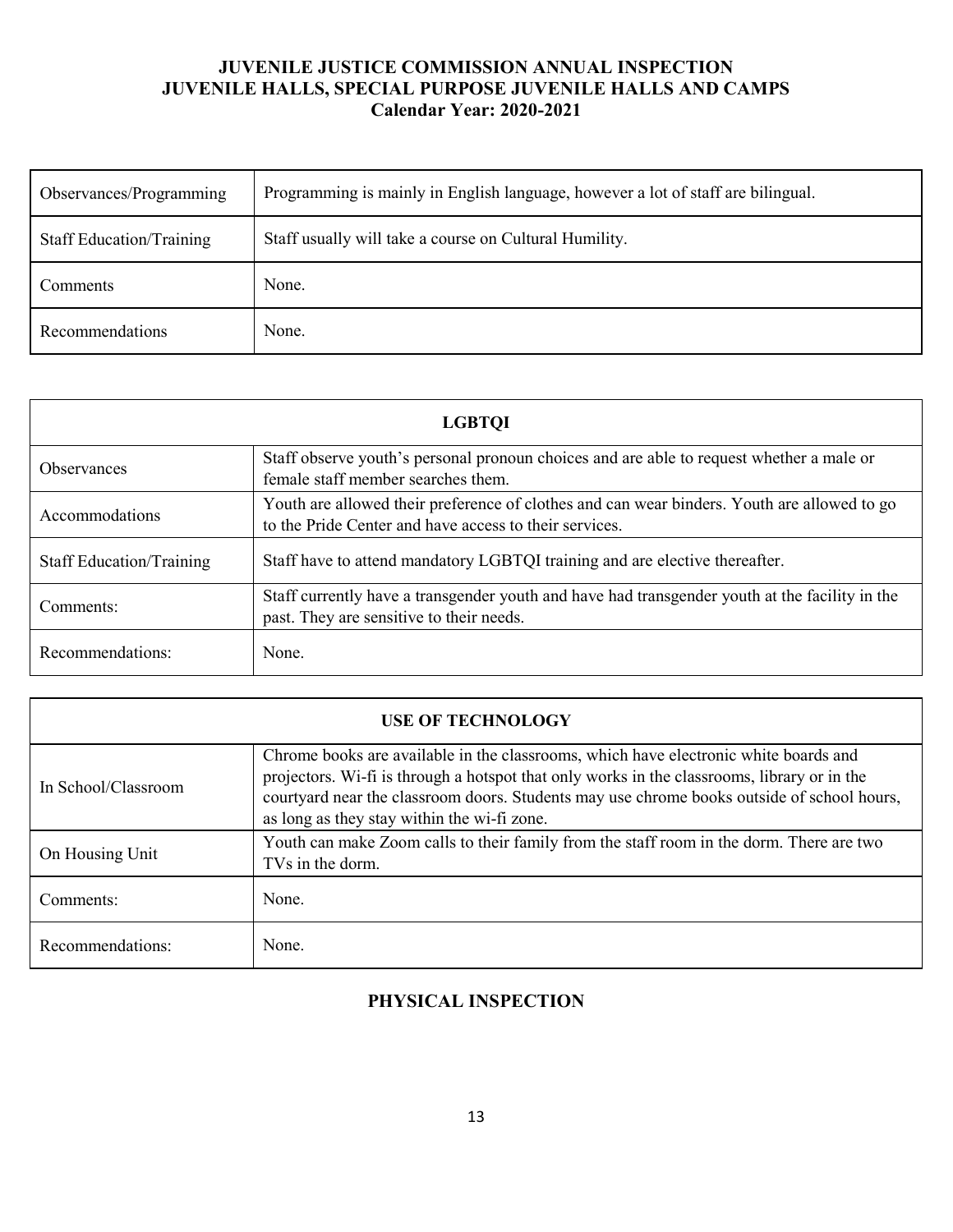| Observances/Programming         | Programming is mainly in English language, however a lot of staff are bilingual. |
|---------------------------------|----------------------------------------------------------------------------------|
| <b>Staff Education/Training</b> | Staff usually will take a course on Cultural Humility.                           |
| <b>Comments</b>                 | None.                                                                            |
| Recommendations                 | None.                                                                            |

| <b>LGBTOI</b>                   |                                                                                                                                                       |  |  |  |  |  |
|---------------------------------|-------------------------------------------------------------------------------------------------------------------------------------------------------|--|--|--|--|--|
| <b>Observances</b>              | Staff observe youth's personal pronoun choices and are able to request whether a male or<br>female staff member searches them.                        |  |  |  |  |  |
| Accommodations                  | Youth are allowed their preference of clothes and can wear binders. Youth are allowed to go<br>to the Pride Center and have access to their services. |  |  |  |  |  |
| <b>Staff Education/Training</b> | Staff have to attend mandatory LGBTQI training and are elective thereafter.                                                                           |  |  |  |  |  |
| Comments:                       | Staff currently have a transgender youth and have had transgender youth at the facility in the<br>past. They are sensitive to their needs.            |  |  |  |  |  |
| Recommendations:                | None.                                                                                                                                                 |  |  |  |  |  |

| <b>USE OF TECHNOLOGY</b> |                                                                                                                                                                                                                                                                                                                                  |  |  |  |  |  |
|--------------------------|----------------------------------------------------------------------------------------------------------------------------------------------------------------------------------------------------------------------------------------------------------------------------------------------------------------------------------|--|--|--|--|--|
| In School/Classroom      | Chrome books are available in the classrooms, which have electronic white boards and<br>projectors. Wi-fi is through a hotspot that only works in the classrooms, library or in the<br>courtyard near the classroom doors. Students may use chrome books outside of school hours,<br>as long as they stay within the wi-fi zone. |  |  |  |  |  |
| On Housing Unit          | Youth can make Zoom calls to their family from the staff room in the dorm. There are two<br>TVs in the dorm.                                                                                                                                                                                                                     |  |  |  |  |  |
| Comments:                | None.                                                                                                                                                                                                                                                                                                                            |  |  |  |  |  |
| Recommendations:         | None.                                                                                                                                                                                                                                                                                                                            |  |  |  |  |  |

# **PHYSICAL INSPECTION**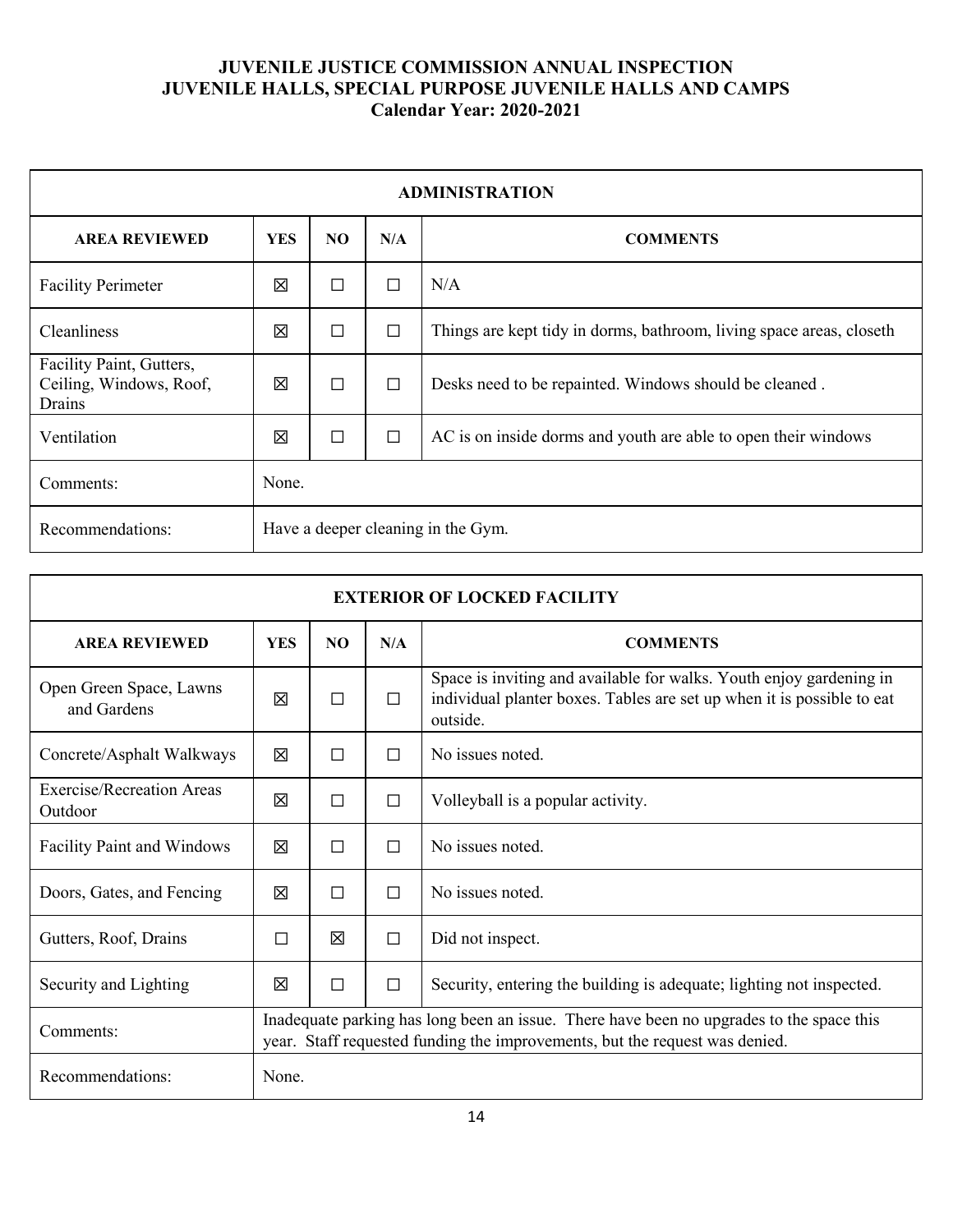| <b>ADMINISTRATION</b>                                         |                                                                                         |        |        |                                                                      |  |  |
|---------------------------------------------------------------|-----------------------------------------------------------------------------------------|--------|--------|----------------------------------------------------------------------|--|--|
| <b>AREA REVIEWED</b>                                          | <b>YES</b><br>N <sub>O</sub><br>N/A<br><b>COMMENTS</b>                                  |        |        |                                                                      |  |  |
| <b>Facility Perimeter</b>                                     | 区                                                                                       | $\Box$ | $\Box$ | N/A                                                                  |  |  |
| Cleanliness                                                   | 区                                                                                       | $\Box$ | $\Box$ | Things are kept tidy in dorms, bathroom, living space areas, closeth |  |  |
| Facility Paint, Gutters,<br>Ceiling, Windows, Roof,<br>Drains | 区                                                                                       | $\Box$ | $\Box$ | Desks need to be repainted. Windows should be cleaned.               |  |  |
| Ventilation                                                   | $\Box$<br>$\Box$<br>区<br>AC is on inside dorms and youth are able to open their windows |        |        |                                                                      |  |  |
| Comments:                                                     | None.                                                                                   |        |        |                                                                      |  |  |
| Recommendations:                                              | Have a deeper cleaning in the Gym.                                                      |        |        |                                                                      |  |  |

| <b>EXTERIOR OF LOCKED FACILITY</b>     |                                                                                                                                                                         |   |                            |                                                                                                                                                           |  |  |
|----------------------------------------|-------------------------------------------------------------------------------------------------------------------------------------------------------------------------|---|----------------------------|-----------------------------------------------------------------------------------------------------------------------------------------------------------|--|--|
| <b>AREA REVIEWED</b>                   | <b>YES</b><br>NO.<br>N/A<br><b>COMMENTS</b>                                                                                                                             |   |                            |                                                                                                                                                           |  |  |
| Open Green Space, Lawns<br>and Gardens | 冈                                                                                                                                                                       | П | П                          | Space is inviting and available for walks. Youth enjoy gardening in<br>individual planter boxes. Tables are set up when it is possible to eat<br>outside. |  |  |
| Concrete/Asphalt Walkways              | 冈                                                                                                                                                                       | П | П                          | No issues noted.                                                                                                                                          |  |  |
| Exercise/Recreation Areas<br>Outdoor   | 冈                                                                                                                                                                       | П | □                          | Volleyball is a popular activity.                                                                                                                         |  |  |
| <b>Facility Paint and Windows</b>      | 冈                                                                                                                                                                       | П | П                          | No issues noted.                                                                                                                                          |  |  |
| Doors, Gates, and Fencing              | 区                                                                                                                                                                       | П | П                          | No issues noted.                                                                                                                                          |  |  |
| Gutters, Roof, Drains                  | П                                                                                                                                                                       | 区 | Did not inspect.<br>$\Box$ |                                                                                                                                                           |  |  |
| Security and Lighting                  | 冈                                                                                                                                                                       | П | $\Box$                     | Security, entering the building is adequate; lighting not inspected.                                                                                      |  |  |
| Comments:                              | Inadequate parking has long been an issue. There have been no upgrades to the space this<br>year. Staff requested funding the improvements, but the request was denied. |   |                            |                                                                                                                                                           |  |  |
| Recommendations:                       | None.                                                                                                                                                                   |   |                            |                                                                                                                                                           |  |  |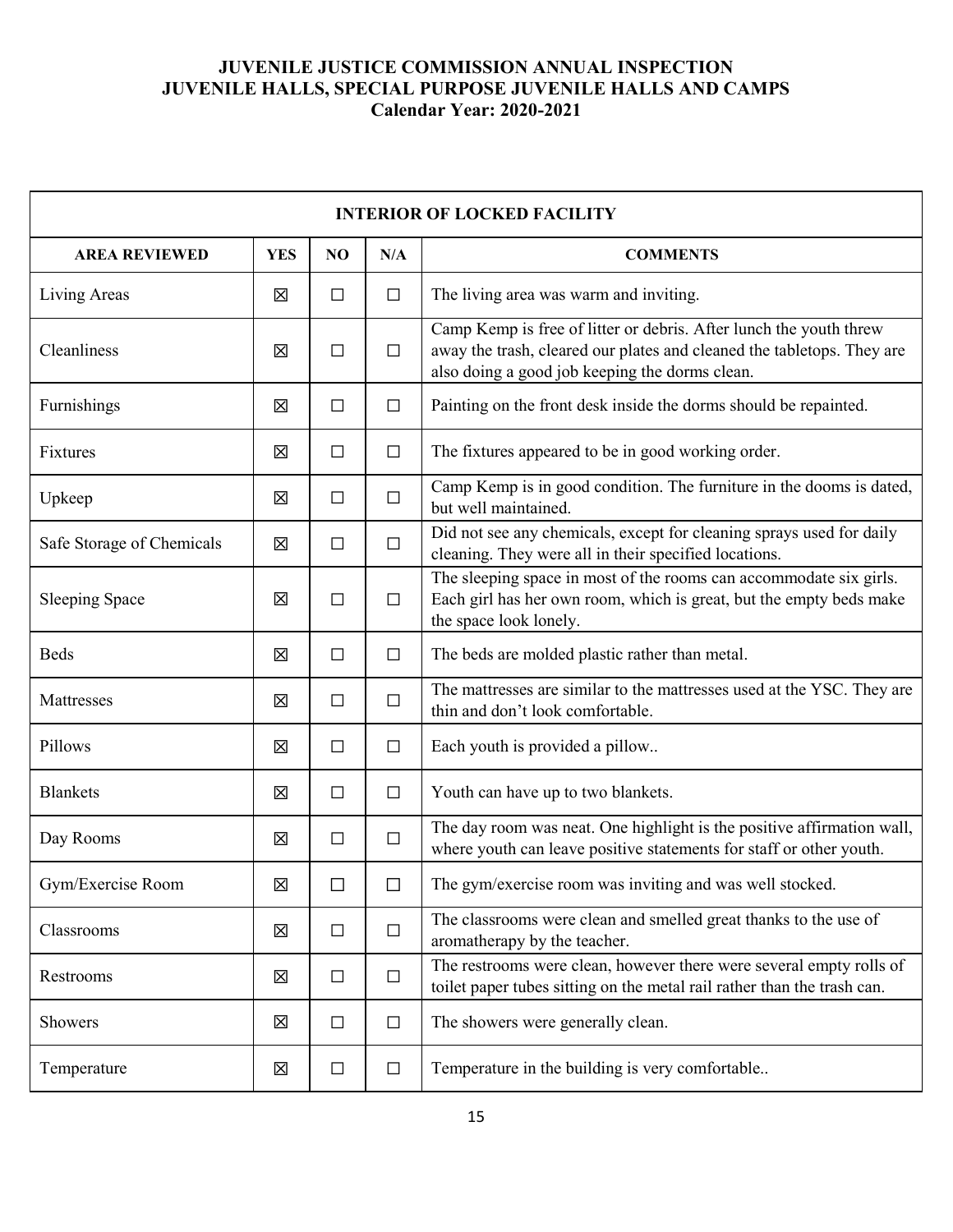| <b>INTERIOR OF LOCKED FACILITY</b> |            |        |        |                                                                                                                                                                                                |  |  |  |
|------------------------------------|------------|--------|--------|------------------------------------------------------------------------------------------------------------------------------------------------------------------------------------------------|--|--|--|
| <b>AREA REVIEWED</b>               | <b>YES</b> | NO     | N/A    | <b>COMMENTS</b>                                                                                                                                                                                |  |  |  |
| Living Areas                       | 区          | $\Box$ | $\Box$ | The living area was warm and inviting.                                                                                                                                                         |  |  |  |
| Cleanliness                        | 区          | $\Box$ | $\Box$ | Camp Kemp is free of litter or debris. After lunch the youth threw<br>away the trash, cleared our plates and cleaned the tabletops. They are<br>also doing a good job keeping the dorms clean. |  |  |  |
| Furnishings                        | 図          | $\Box$ | $\Box$ | Painting on the front desk inside the dorms should be repainted.                                                                                                                               |  |  |  |
| Fixtures                           | 図          | $\Box$ | $\Box$ | The fixtures appeared to be in good working order.                                                                                                                                             |  |  |  |
| Upkeep                             | 区          | $\Box$ | $\Box$ | Camp Kemp is in good condition. The furniture in the dooms is dated,<br>but well maintained.                                                                                                   |  |  |  |
| Safe Storage of Chemicals          | 区          | $\Box$ | $\Box$ | Did not see any chemicals, except for cleaning sprays used for daily<br>cleaning. They were all in their specified locations.                                                                  |  |  |  |
| <b>Sleeping Space</b>              | 区          | $\Box$ | $\Box$ | The sleeping space in most of the rooms can accommodate six girls.<br>Each girl has her own room, which is great, but the empty beds make<br>the space look lonely.                            |  |  |  |
| <b>Beds</b>                        | 区          | $\Box$ | $\Box$ | The beds are molded plastic rather than metal.                                                                                                                                                 |  |  |  |
| Mattresses                         | 区          | $\Box$ | $\Box$ | The mattresses are similar to the mattresses used at the YSC. They are<br>thin and don't look comfortable.                                                                                     |  |  |  |
| Pillows                            | 区          | $\Box$ | $\Box$ | Each youth is provided a pillow                                                                                                                                                                |  |  |  |
| <b>Blankets</b>                    | 区          | $\Box$ | $\Box$ | Youth can have up to two blankets.                                                                                                                                                             |  |  |  |
| Day Rooms                          | 区          | $\Box$ | $\Box$ | The day room was neat. One highlight is the positive affirmation wall,<br>where youth can leave positive statements for staff or other youth.                                                  |  |  |  |
| Gym/Exercise Room                  | 区          | $\Box$ | П      | The gym/exercise room was inviting and was well stocked.                                                                                                                                       |  |  |  |
| Classrooms                         | 区          | $\Box$ | $\Box$ | The classrooms were clean and smelled great thanks to the use of<br>aromatherapy by the teacher.                                                                                               |  |  |  |
| Restrooms                          | 区          | $\Box$ | $\Box$ | The restrooms were clean, however there were several empty rolls of<br>toilet paper tubes sitting on the metal rail rather than the trash can.                                                 |  |  |  |
| Showers                            | 区          | $\Box$ | $\Box$ | The showers were generally clean.                                                                                                                                                              |  |  |  |
| Temperature                        | 区          | $\Box$ | $\Box$ | Temperature in the building is very comfortable                                                                                                                                                |  |  |  |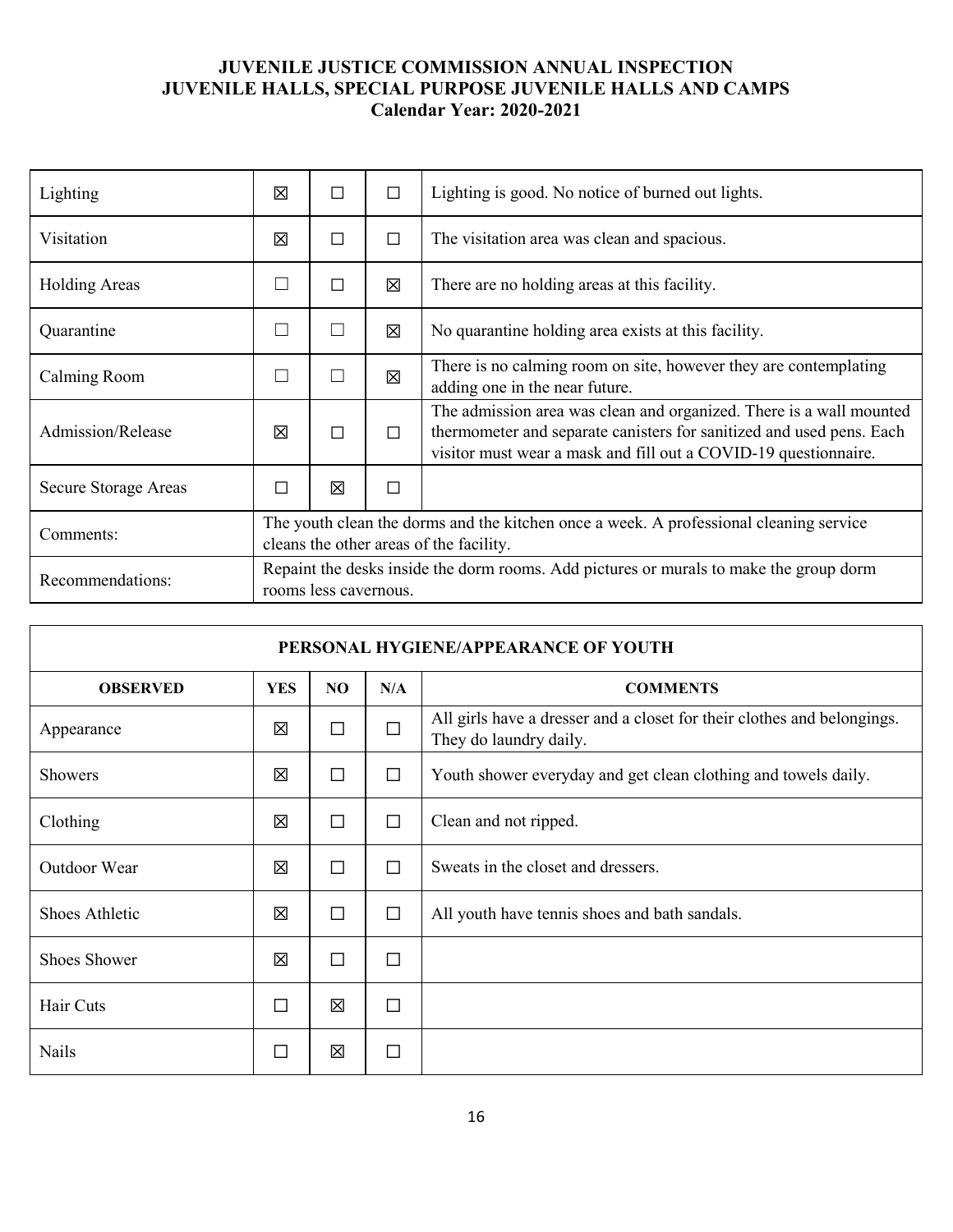| Lighting             | 冈                                                                                                                                 | П      | $\Box$ | Lighting is good. No notice of burned out lights.                                                                                                                                                              |  |
|----------------------|-----------------------------------------------------------------------------------------------------------------------------------|--------|--------|----------------------------------------------------------------------------------------------------------------------------------------------------------------------------------------------------------------|--|
| Visitation           | 冈                                                                                                                                 | □      | $\Box$ | The visitation area was clean and spacious.                                                                                                                                                                    |  |
| <b>Holding Areas</b> |                                                                                                                                   | $\Box$ | 区      | There are no holding areas at this facility.                                                                                                                                                                   |  |
| Quarantine           |                                                                                                                                   | $\Box$ | 区      | No quarantine holding area exists at this facility.                                                                                                                                                            |  |
| Calming Room         |                                                                                                                                   | П      | 冈      | There is no calming room on site, however they are contemplating<br>adding one in the near future.                                                                                                             |  |
| Admission/Release    | ⊠                                                                                                                                 | $\Box$ | П      | The admission area was clean and organized. There is a wall mounted<br>thermometer and separate canisters for sanitized and used pens. Each<br>visitor must wear a mask and fill out a COVID-19 questionnaire. |  |
| Secure Storage Areas |                                                                                                                                   | 区      | $\Box$ |                                                                                                                                                                                                                |  |
| Comments:            | The youth clean the dorms and the kitchen once a week. A professional cleaning service<br>cleans the other areas of the facility. |        |        |                                                                                                                                                                                                                |  |
| Recommendations:     | Repaint the desks inside the dorm rooms. Add pictures or murals to make the group dorm<br>rooms less cavernous.                   |        |        |                                                                                                                                                                                                                |  |

| PERSONAL HYGIENE/APPEARANCE OF YOUTH |                                            |        |        |                                                                                                   |  |  |
|--------------------------------------|--------------------------------------------|--------|--------|---------------------------------------------------------------------------------------------------|--|--|
| <b>OBSERVED</b>                      | <b>YES</b><br>NO<br>N/A<br><b>COMMENTS</b> |        |        |                                                                                                   |  |  |
| Appearance                           | 区                                          | $\Box$ | $\Box$ | All girls have a dresser and a closet for their clothes and belongings.<br>They do laundry daily. |  |  |
| Showers                              | 区                                          | $\Box$ | $\Box$ | Youth shower everyday and get clean clothing and towels daily.                                    |  |  |
| Clothing                             | 区                                          | $\Box$ | $\Box$ | Clean and not ripped.                                                                             |  |  |
| Outdoor Wear                         | 区                                          | $\Box$ | $\Box$ | Sweats in the closet and dressers.                                                                |  |  |
| Shoes Athletic                       | 区                                          | П      | $\Box$ | All youth have tennis shoes and bath sandals.                                                     |  |  |
| <b>Shoes Shower</b>                  | 区                                          | $\Box$ | $\Box$ |                                                                                                   |  |  |
| Hair Cuts                            | □                                          | 区      | $\Box$ |                                                                                                   |  |  |
| <b>Nails</b>                         | ப                                          | 区      | $\Box$ |                                                                                                   |  |  |